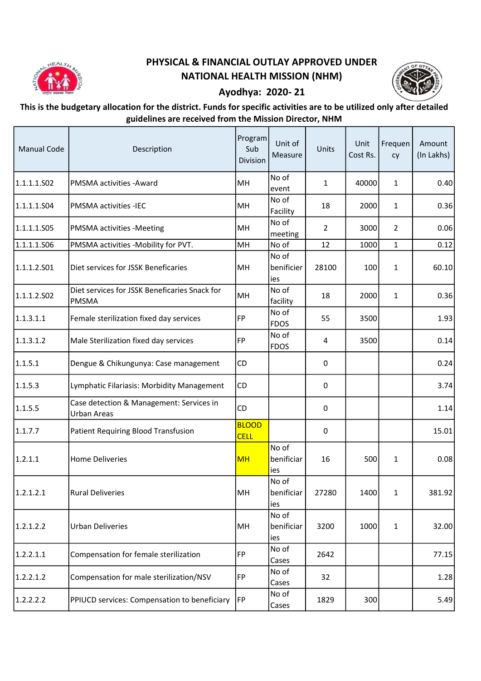

## PHYSICAL & FINANCIAL OUTLAY APPROVED UNDER NATIONAL HEALTH MISSION (NHM)



## Ayodhya: 2020- 21

## This is the budgetary allocation for the district. Funds for specific activities are to be utilized only after detailed guidelines are received from the Mission Director, NHM

| <b>Manual Code</b> | Description                                             | Program<br>Sub<br>Division  | Unit of<br>Measure         | <b>Units</b>   | Unit<br>Cost Rs. | Frequen<br>cy  | Amount<br>(In Lakhs) |
|--------------------|---------------------------------------------------------|-----------------------------|----------------------------|----------------|------------------|----------------|----------------------|
| 1.1.1.1.502        | <b>PMSMA activities - Award</b>                         | MH                          | No of<br>event             | 1              | 40000            | $\mathbf{1}$   | 0.40                 |
| 1.1.1.1.S04        | <b>PMSMA activities -IEC</b>                            | MH                          | No of<br>Facility          | 18             | 2000             | $\mathbf{1}$   | 0.36                 |
| 1.1.1.1.505        | <b>PMSMA</b> activities -Meeting                        | MH                          | No of<br>meeting           | $\overline{2}$ | 3000             | $\overline{2}$ | 0.06                 |
| 1.1.1.1.506        | PMSMA activities -Mobility for PVT.                     | MH                          | No of                      | 12             | 1000             | $\mathbf{1}$   | 0.12                 |
| 1.1.1.2.501        | Diet services for JSSK Beneficaries                     | MH                          | No of<br>benificier<br>ies | 28100          | 100              | $\mathbf 1$    | 60.10                |
| 1.1.1.2.502        | Diet services for JSSK Beneficaries Snack for<br>PMSMA  | MH                          | No of<br>facility          | 18             | 2000             | $\mathbf{1}$   | 0.36                 |
| 1.1.3.1.1          | Female sterilization fixed day services                 | FP                          | No of<br><b>FDOS</b>       | 55             | 3500             |                | 1.93                 |
| 1.1.3.1.2          | Male Sterilization fixed day services                   | FP                          | No of<br><b>FDOS</b>       | 4              | 3500             |                | 0.14                 |
| 1.1.5.1            | Dengue & Chikungunya: Case management                   | <b>CD</b>                   |                            | 0              |                  |                | 0.24                 |
| 1.1.5.3            | Lymphatic Filariasis: Morbidity Management              | <b>CD</b>                   |                            | 0              |                  |                | 3.74                 |
| 1.1.5.5            | Case detection & Management: Services in<br>Urban Areas | <b>CD</b>                   |                            | 0              |                  |                | 1.14                 |
| 1.1.7.7            | Patient Requiring Blood Transfusion                     | <b>BLOOD</b><br><b>CELL</b> |                            | 0              |                  |                | 15.01                |
| 1.2.1.1            | Home Deliveries                                         | <b>MH</b>                   | No of<br>benificiar<br>ies | 16             | 500              | 1              | 0.08                 |
| 1.2.1.2.1          | <b>Rural Deliveries</b>                                 | MH                          | No of<br>benificiar<br>ies | 27280          | 1400             | 1              | 381.92               |
| 1.2.1.2.2          | <b>Urban Deliveries</b>                                 | MH                          | No of<br>benificiar<br>ies | 3200           | 1000             | $\mathbf{1}$   | 32.00                |
| 1.2.2.1.1          | Compensation for female sterilization                   | FP                          | No of<br>Cases             | 2642           |                  |                | 77.15                |
| 1.2.2.1.2          | Compensation for male sterilization/NSV                 | FP                          | No of<br>Cases             | 32             |                  |                | 1.28                 |
| 1.2.2.2.2          | PPIUCD services: Compensation to beneficiary            | <b>IFP</b>                  | No of<br>Cases             | 1829           | 300              |                | 5.49                 |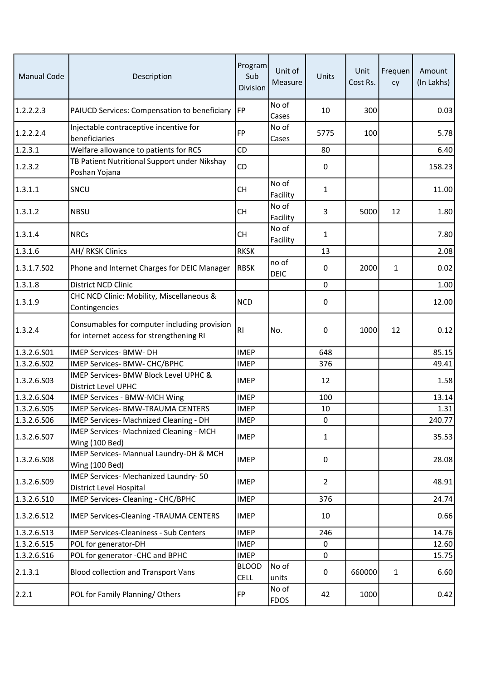| <b>Manual Code</b> | Description                                                                              | Program<br>Sub<br>Division  | Unit of<br>Measure   | Units          | Unit<br>Cost Rs. | Frequen<br>cy | Amount<br>(In Lakhs) |
|--------------------|------------------------------------------------------------------------------------------|-----------------------------|----------------------|----------------|------------------|---------------|----------------------|
| 1.2.2.2.3          | PAIUCD Services: Compensation to beneficiary                                             | <b>FP</b>                   | No of<br>Cases       | 10             | 300              |               | 0.03                 |
| 1.2.2.2.4          | Injectable contraceptive incentive for<br>beneficiaries                                  | <b>FP</b>                   | No of<br>Cases       | 5775           | 100              |               | 5.78                 |
| 1.2.3.1            | Welfare allowance to patients for RCS                                                    | CD                          |                      | 80             |                  |               | 6.40                 |
| 1.2.3.2            | TB Patient Nutritional Support under Nikshay<br>Poshan Yojana                            | CD                          |                      | 0              |                  |               | 158.23               |
| 1.3.1.1            | SNCU                                                                                     | <b>CH</b>                   | No of<br>Facility    | $\mathbf{1}$   |                  |               | 11.00                |
| 1.3.1.2            | <b>NBSU</b>                                                                              | <b>CH</b>                   | No of<br>Facility    | 3              | 5000             | 12            | 1.80                 |
| 1.3.1.4            | <b>NRCs</b>                                                                              | <b>CH</b>                   | No of<br>Facility    | $\mathbf{1}$   |                  |               | 7.80                 |
| 1.3.1.6            | <b>AH/ RKSK Clinics</b>                                                                  | <b>RKSK</b>                 |                      | 13             |                  |               | 2.08                 |
| 1.3.1.7.502        | Phone and Internet Charges for DEIC Manager                                              | <b>RBSK</b>                 | no of<br><b>DEIC</b> | 0              | 2000             | 1             | 0.02                 |
| 1.3.1.8            | District NCD Clinic                                                                      |                             |                      | $\mathbf 0$    |                  |               | 1.00                 |
| 1.3.1.9            | CHC NCD Clinic: Mobility, Miscellaneous &<br>Contingencies                               | <b>NCD</b>                  |                      | 0              |                  |               | 12.00                |
| 1.3.2.4            | Consumables for computer including provision<br>for internet access for strengthening RI | RI                          | No.                  | 0              | 1000             | 12            | 0.12                 |
| 1.3.2.6.S01        | IMEP Services- BMW- DH                                                                   | <b>IMEP</b>                 |                      | 648            |                  |               | 85.15                |
| 1.3.2.6.502        | IMEP Services- BMW- CHC/BPHC                                                             | <b>IMEP</b>                 |                      | 376            |                  |               | 49.41                |
| 1.3.2.6.503        | IMEP Services- BMW Block Level UPHC &<br>District Level UPHC                             | <b>IMEP</b>                 |                      | 12             |                  |               | 1.58                 |
| 1.3.2.6.S04        | <b>IMEP Services - BMW-MCH Wing</b>                                                      | <b>IMEP</b>                 |                      | 100            |                  |               | 13.14                |
| 1.3.2.6.S05        | IMEP Services- BMW-TRAUMA CENTERS                                                        | <b>IMEP</b>                 |                      | 10             |                  |               | 1.31                 |
| 1.3.2.6.506        | IMEP Services- Machnized Cleaning - DH                                                   | <b>IMEP</b>                 |                      | $\mathbf 0$    |                  |               | 240.77               |
| 1.3.2.6.507        | IMEP Services- Machnized Cleaning - MCH<br>Wing (100 Bed)                                | <b>IMEP</b>                 |                      | $\mathbf{1}$   |                  |               | 35.53                |
| 1.3.2.6.508        | IMEP Services- Mannual Laundry-DH & MCH<br>Wing (100 Bed)                                | <b>IMEP</b>                 |                      | 0              |                  |               | 28.08                |
| 1.3.2.6.509        | IMEP Services- Mechanized Laundry- 50<br>District Level Hospital                         | <b>IMEP</b>                 |                      | $\overline{2}$ |                  |               | 48.91                |
| 1.3.2.6.510        | IMEP Services- Cleaning - CHC/BPHC                                                       | <b>IMEP</b>                 |                      | 376            |                  |               | 24.74                |
| 1.3.2.6.S12        | IMEP Services-Cleaning -TRAUMA CENTERS                                                   | <b>IMEP</b>                 |                      | 10             |                  |               | 0.66                 |
| 1.3.2.6.513        | <b>IMEP Services-Cleaniness - Sub Centers</b>                                            | <b>IMEP</b>                 |                      | 246            |                  |               | 14.76                |
| 1.3.2.6.S15        | POL for generator-DH                                                                     | <b>IMEP</b>                 |                      | 0              |                  |               | 12.60                |
| 1.3.2.6.516        | POL for generator -CHC and BPHC                                                          | <b>IMEP</b>                 |                      | $\mathbf 0$    |                  |               | 15.75                |
| 2.1.3.1            | <b>Blood collection and Transport Vans</b>                                               | <b>BLOOD</b><br><b>CELL</b> | No of<br>units       | 0              | 660000           | $\mathbf{1}$  | 6.60                 |
| 2.2.1              | POL for Family Planning/Others                                                           | FP                          | No of<br><b>FDOS</b> | 42             | 1000             |               | 0.42                 |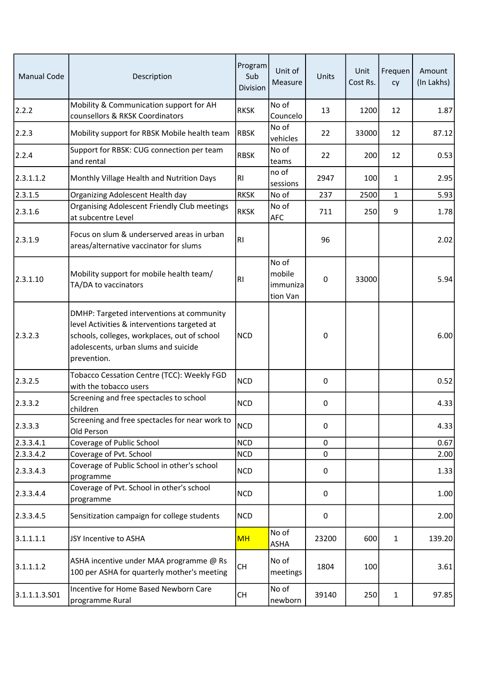| <b>Manual Code</b> | Description                                                                                                                                                                                      | Program<br>Sub<br>Division | Unit of<br>Measure                      | Units       | Unit<br>Cost Rs. | Frequen<br>cy | Amount<br>(In Lakhs) |
|--------------------|--------------------------------------------------------------------------------------------------------------------------------------------------------------------------------------------------|----------------------------|-----------------------------------------|-------------|------------------|---------------|----------------------|
| 2.2.2              | Mobility & Communication support for AH<br>counsellors & RKSK Coordinators                                                                                                                       | <b>RKSK</b>                | No of<br>Councelo                       | 13          | 1200             | 12            | 1.87                 |
| 2.2.3              | Mobility support for RBSK Mobile health team                                                                                                                                                     | <b>RBSK</b>                | No of<br>vehicles                       | 22          | 33000            | 12            | 87.12                |
| 2.2.4              | Support for RBSK: CUG connection per team<br>and rental                                                                                                                                          | <b>RBSK</b>                | No of<br>teams                          | 22          | 200              | 12            | 0.53                 |
| 2.3.1.1.2          | Monthly Village Health and Nutrition Days                                                                                                                                                        | RI                         | no of<br>sessions                       | 2947        | 100              | $\mathbf{1}$  | 2.95                 |
| 2.3.1.5            | Organizing Adolescent Health day                                                                                                                                                                 | <b>RKSK</b>                | No of                                   | 237         | 2500             | $\mathbf{1}$  | 5.93                 |
| 2.3.1.6            | Organising Adolescent Friendly Club meetings<br>at subcentre Level                                                                                                                               | <b>RKSK</b>                | No of<br><b>AFC</b>                     | 711         | 250              | 9             | 1.78                 |
| 2.3.1.9            | Focus on slum & underserved areas in urban<br>areas/alternative vaccinator for slums                                                                                                             | RI                         |                                         | 96          |                  |               | 2.02                 |
| 2.3.1.10           | Mobility support for mobile health team/<br>TA/DA to vaccinators                                                                                                                                 | R <sub>1</sub>             | No of<br>mobile<br>immuniza<br>tion Van | $\mathbf 0$ | 33000            |               | 5.94                 |
| 2.3.2.3            | DMHP: Targeted interventions at community<br>level Activities & interventions targeted at<br>schools, colleges, workplaces, out of school<br>adolescents, urban slums and suicide<br>prevention. | <b>NCD</b>                 |                                         | 0           |                  |               | 6.00                 |
| 2.3.2.5            | Tobacco Cessation Centre (TCC): Weekly FGD<br>with the tobacco users                                                                                                                             | <b>NCD</b>                 |                                         | 0           |                  |               | 0.52                 |
| 2.3.3.2            | Screening and free spectacles to school<br>children                                                                                                                                              | <b>NCD</b>                 |                                         | 0           |                  |               | 4.33                 |
| 2.3.3.3            | Screening and free spectacles for near work to<br>Old Person                                                                                                                                     | <b>NCD</b>                 |                                         | $\mathbf 0$ |                  |               | 4.33                 |
| 2.3.3.4.1          | Coverage of Public School                                                                                                                                                                        | <b>NCD</b>                 |                                         | $\mathbf 0$ |                  |               | 0.67                 |
| 2.3.3.4.2          | Coverage of Pvt. School                                                                                                                                                                          | <b>NCD</b>                 |                                         | 0           |                  |               | 2.00                 |
| 2.3.3.4.3          | Coverage of Public School in other's school<br>programme                                                                                                                                         | <b>NCD</b>                 |                                         | 0           |                  |               | 1.33                 |
| 2.3.3.4.4          | Coverage of Pvt. School in other's school<br>programme                                                                                                                                           | <b>NCD</b>                 |                                         | 0           |                  |               | 1.00                 |
| 2.3.3.4.5          | Sensitization campaign for college students                                                                                                                                                      | <b>NCD</b>                 |                                         | 0           |                  |               | 2.00                 |
| 3.1.1.1.1          | JSY Incentive to ASHA                                                                                                                                                                            | <b>MH</b>                  | No of<br>ASHA                           | 23200       | 600              | $\mathbf{1}$  | 139.20               |
| 3.1.1.1.2          | ASHA incentive under MAA programme @ Rs<br>100 per ASHA for quarterly mother's meeting                                                                                                           | <b>CH</b>                  | No of<br>meetings                       | 1804        | 100              |               | 3.61                 |
| 3.1.1.1.3.501      | Incentive for Home Based Newborn Care<br>programme Rural                                                                                                                                         | CH                         | No of<br>newborn                        | 39140       | 250              | $\mathbf{1}$  | 97.85                |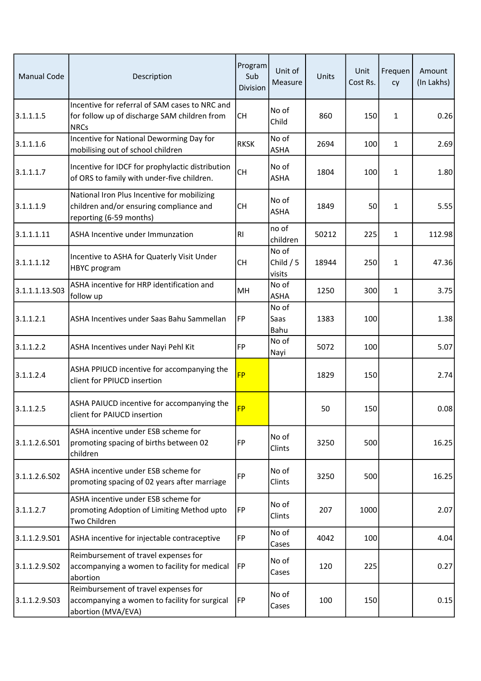| <b>Manual Code</b> | Description                                                                                                       | Program<br>Sub<br>Division | Unit of<br>Measure            | Units | Unit<br>Cost Rs. | Frequen<br>cy | Amount<br>(In Lakhs) |
|--------------------|-------------------------------------------------------------------------------------------------------------------|----------------------------|-------------------------------|-------|------------------|---------------|----------------------|
| 3.1.1.1.5          | Incentive for referral of SAM cases to NRC and<br>for follow up of discharge SAM children from<br><b>NRCs</b>     | <b>CH</b>                  | No of<br>Child                | 860   | 150              | 1             | 0.26                 |
| 3.1.1.1.6          | Incentive for National Deworming Day for<br>mobilising out of school children                                     | <b>RKSK</b>                | No of<br>ASHA                 | 2694  | 100              | $\mathbf{1}$  | 2.69                 |
| 3.1.1.1.7          | Incentive for IDCF for prophylactic distribution<br>of ORS to family with under-five children.                    | <b>CH</b>                  | No of<br><b>ASHA</b>          | 1804  | 100              | $\mathbf{1}$  | 1.80                 |
| 3.1.1.1.9          | National Iron Plus Incentive for mobilizing<br>children and/or ensuring compliance and<br>reporting (6-59 months) | <b>CH</b>                  | No of<br><b>ASHA</b>          | 1849  | 50               | 1             | 5.55                 |
| 3.1.1.1.11         | ASHA Incentive under Immunzation                                                                                  | R1                         | no of<br>children             | 50212 | 225              | $\mathbf{1}$  | 112.98               |
| 3.1.1.1.12         | Incentive to ASHA for Quaterly Visit Under<br>HBYC program                                                        | <b>CH</b>                  | No of<br>Child $/5$<br>visits | 18944 | 250              | $\mathbf{1}$  | 47.36                |
| 3.1.1.1.13.503     | ASHA incentive for HRP identification and<br>follow up                                                            | MH                         | No of<br><b>ASHA</b>          | 1250  | 300              | $\mathbf{1}$  | 3.75                 |
| 3.1.1.2.1          | ASHA Incentives under Saas Bahu Sammellan                                                                         | FP                         | No of<br><b>Saas</b><br>Bahu  | 1383  | 100              |               | 1.38                 |
| 3.1.1.2.2          | ASHA Incentives under Nayi Pehl Kit                                                                               | <b>FP</b>                  | No of<br>Nayi                 | 5072  | 100              |               | 5.07                 |
| 3.1.1.2.4          | ASHA PPIUCD incentive for accompanying the<br>client for PPIUCD insertion                                         | <b>FP</b>                  |                               | 1829  | 150              |               | 2.74                 |
| 3.1.1.2.5          | ASHA PAIUCD incentive for accompanying the<br>client for PAIUCD insertion                                         | <b>FP</b>                  |                               | 50    | 150              |               | 0.08                 |
| 3.1.1.2.6.501      | ASHA incentive under ESB scheme for<br>promoting spacing of births between 02<br>children                         | FP                         | No of<br>Clints               | 3250  | 500              |               | 16.25                |
| 3.1.1.2.6.502      | ASHA incentive under ESB scheme for<br>promoting spacing of 02 years after marriage                               | FP                         | No of<br>Clints               | 3250  | 500              |               | 16.25                |
| 3.1.1.2.7          | ASHA incentive under ESB scheme for<br>promoting Adoption of Limiting Method upto<br>Two Children                 | FP                         | No of<br>Clints               | 207   | 1000             |               | 2.07                 |
| 3.1.1.2.9.501      | ASHA incentive for injectable contraceptive                                                                       | FP                         | No of<br>Cases                | 4042  | 100              |               | 4.04                 |
| 3.1.1.2.9.502      | Reimbursement of travel expenses for<br>accompanying a women to facility for medical<br>abortion                  | FP                         | No of<br>Cases                | 120   | 225              |               | 0.27                 |
| 3.1.1.2.9.503      | Reimbursement of travel expenses for<br>accompanying a women to facility for surgical<br>abortion (MVA/EVA)       | FP                         | No of<br>Cases                | 100   | 150              |               | 0.15                 |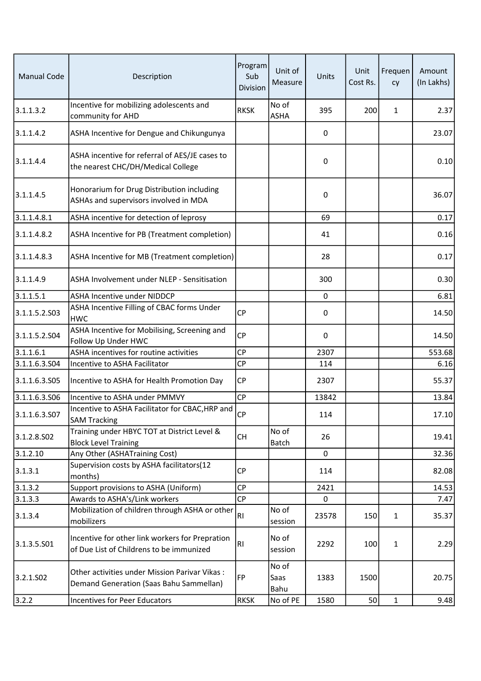| <b>Manual Code</b>    | Description                                                                                 | Program<br>Sub<br>Division | Unit of<br>Measure    | Units       | Unit<br>Cost Rs. | Frequen<br>cy | Amount<br>(In Lakhs) |
|-----------------------|---------------------------------------------------------------------------------------------|----------------------------|-----------------------|-------------|------------------|---------------|----------------------|
| 3.1.1.3.2             | Incentive for mobilizing adolescents and<br>community for AHD                               | <b>RKSK</b>                | No of<br>ASHA         | 395         | 200              | 1             | 2.37                 |
| 3.1.1.4.2             | ASHA Incentive for Dengue and Chikungunya                                                   |                            |                       | 0           |                  |               | 23.07                |
| 3.1.1.4.4             | ASHA incentive for referral of AES/JE cases to<br>the nearest CHC/DH/Medical College        |                            |                       | 0           |                  |               | 0.10                 |
| 3.1.1.4.5             | Honorarium for Drug Distribution including<br>ASHAs and supervisors involved in MDA         |                            |                       | 0           |                  |               | 36.07                |
| 3.1.1.4.8.1           | ASHA incentive for detection of leprosy                                                     |                            |                       | 69          |                  |               | 0.17                 |
| 3.1.1.4.8.2           | ASHA Incentive for PB (Treatment completion)                                                |                            |                       | 41          |                  |               | 0.16                 |
| 3.1.1.4.8.3           | ASHA Incentive for MB (Treatment completion)                                                |                            |                       | 28          |                  |               | 0.17                 |
| 3.1.1.4.9             | ASHA Involvement under NLEP - Sensitisation                                                 |                            |                       | 300         |                  |               | 0.30                 |
| 3.1.1.5.1             | <b>ASHA Incentive under NIDDCP</b>                                                          |                            |                       | 0           |                  |               | 6.81                 |
| 3.1.1.5.2.503         | ASHA Incentive Filling of CBAC forms Under<br><b>HWC</b>                                    | <b>CP</b>                  |                       | 0           |                  |               | 14.50                |
| 3.1.1.5.2.504         | ASHA Incentive for Mobilising, Screening and<br>Follow Up Under HWC                         | <b>CP</b>                  |                       | 0           |                  |               | 14.50                |
| 3.1.1.6.1             | ASHA incentives for routine activities                                                      | CP                         |                       | 2307        |                  |               | 553.68               |
| 3.1.1.6.3.504         | Incentive to ASHA Facilitator                                                               | CP                         |                       | 114         |                  |               | 6.16                 |
| 3.1.1.6.3.505         | Incentive to ASHA for Health Promotion Day                                                  | <b>CP</b>                  |                       | 2307        |                  |               | 55.37                |
| 3.1.1.6.3.506         | Incentive to ASHA under PMMVY                                                               | CP                         |                       | 13842       |                  |               | 13.84                |
| 3.1.1.6.3.507         | Incentive to ASHA Facilitator for CBAC, HRP and<br><b>SAM Tracking</b>                      | <b>CP</b>                  |                       | 114         |                  |               | 17.10                |
| 3.1.2.8.502           | Training under HBYC TOT at District Level &<br><b>Block Level Training</b>                  | <b>CH</b>                  | No of<br>Batch        | 26          |                  |               | 19.41                |
| 3.1.2.10              | Any Other (ASHATraining Cost)                                                               |                            |                       | $\mathbf 0$ |                  |               | 32.36                |
| 3.1.3.1               | Supervision costs by ASHA facilitators(12<br>months)                                        | <b>CP</b>                  |                       | 114         |                  |               | 82.08                |
| 3.1.3.2               | Support provisions to ASHA (Uniform)                                                        | <b>CP</b>                  |                       | 2421        |                  |               | 14.53                |
| 3.1.3.3               | Awards to ASHA's/Link workers                                                               | CP                         |                       | 0           |                  |               | 7.47                 |
| 3.1.3.4               | Mobilization of children through ASHA or other<br>mobilizers                                | RI                         | No of<br>session      | 23578       | 150              | $\mathbf{1}$  | 35.37                |
| 3.1.3.5.501           | Incentive for other link workers for Prepration<br>of Due List of Childrens to be immunized | RI                         | No of<br>session      | 2292        | 100              | 1             | 2.29                 |
| 3.2.1.SO <sub>2</sub> | Other activities under Mission Parivar Vikas:<br>Demand Generation (Saas Bahu Sammellan)    | FP                         | No of<br>Saas<br>Bahu | 1383        | 1500             |               | 20.75                |
| 3.2.2                 | Incentives for Peer Educators                                                               | <b>RKSK</b>                | No of PE              | 1580        | 50               | $\mathbf{1}$  | 9.48                 |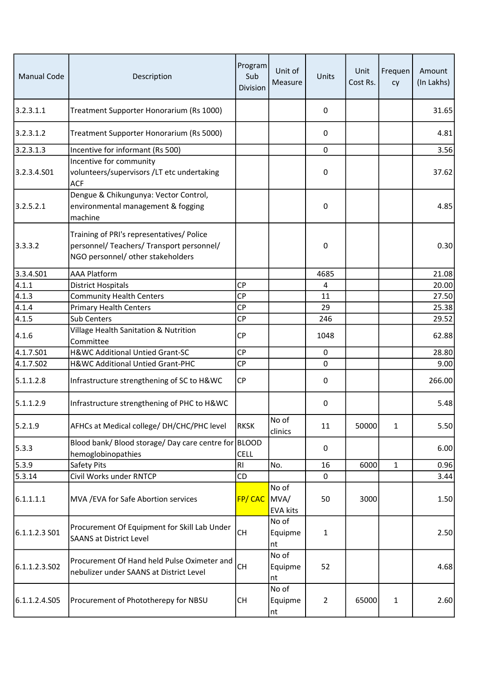| <b>Manual Code</b> | Description                                                                                                                 | Program<br>Sub<br>Division | Unit of<br>Measure       | Units          | Unit<br>Cost Rs. | Frequen<br>cy | Amount<br>(In Lakhs) |
|--------------------|-----------------------------------------------------------------------------------------------------------------------------|----------------------------|--------------------------|----------------|------------------|---------------|----------------------|
| 3.2.3.1.1          | Treatment Supporter Honorarium (Rs 1000)                                                                                    |                            |                          | 0              |                  |               | 31.65                |
| 3.2.3.1.2          | Treatment Supporter Honorarium (Rs 5000)                                                                                    |                            |                          | 0              |                  |               | 4.81                 |
| 3.2.3.1.3          | Incentive for informant (Rs 500)                                                                                            |                            |                          | $\mathbf 0$    |                  |               | 3.56                 |
| 3.2.3.4.S01        | Incentive for community<br>volunteers/supervisors /LT etc undertaking<br><b>ACF</b>                                         |                            |                          | 0              |                  |               | 37.62                |
| 3.2.5.2.1          | Dengue & Chikungunya: Vector Control,<br>environmental management & fogging<br>machine                                      |                            |                          | 0              |                  |               | 4.85                 |
| 3.3.3.2            | Training of PRI's representatives/ Police<br>personnel/ Teachers/ Transport personnel/<br>NGO personnel/ other stakeholders |                            |                          | 0              |                  |               | 0.30                 |
| 3.3.4.501          | <b>AAA Platform</b>                                                                                                         |                            |                          | 4685           |                  |               | 21.08                |
| 4.1.1              | <b>District Hospitals</b>                                                                                                   | <b>CP</b>                  |                          | 4              |                  |               | 20.00                |
| 4.1.3              | <b>Community Health Centers</b>                                                                                             | <b>CP</b>                  |                          | 11             |                  |               | 27.50                |
| 4.1.4              | <b>Primary Health Centers</b>                                                                                               | CP                         |                          | 29             |                  |               | 25.38                |
| 4.1.5              | Sub Centers                                                                                                                 | <b>CP</b>                  |                          | 246            |                  |               | 29.52                |
| 4.1.6              | Village Health Sanitation & Nutrition<br>Committee                                                                          | <b>CP</b>                  |                          | 1048           |                  |               | 62.88                |
| 4.1.7.501          | H&WC Additional Untied Grant-SC                                                                                             | <b>CP</b>                  |                          | 0              |                  |               | 28.80                |
| 4.1.7.502          | H&WC Additional Untied Grant-PHC                                                                                            | <b>CP</b>                  |                          | $\mathbf 0$    |                  |               | 9.00                 |
| 5.1.1.2.8          | Infrastructure strengthening of SC to H&WC                                                                                  | <b>CP</b>                  |                          | 0              |                  |               | 266.00               |
| 5.1.1.2.9          | Infrastructure strengthening of PHC to H&WC                                                                                 |                            |                          | 0              |                  |               | 5.48                 |
| 5.2.1.9            | AFHCs at Medical college/ DH/CHC/PHC level                                                                                  | <b>RKSK</b>                | No of<br>clinics         | 11             | 50000            | $\mathbf{1}$  | 5.50                 |
| 5.3.3              | Blood bank/ Blood storage/ Day care centre for BLOOD<br>hemoglobinopathies                                                  | <b>CELL</b>                |                          | 0              |                  |               | 6.00                 |
| 5.3.9              | Safety Pits                                                                                                                 | <b>RI</b>                  | No.                      | 16             | 6000             | $\mathbf{1}$  | 0.96                 |
| 5.3.14             | Civil Works under RNTCP                                                                                                     | CD                         |                          | 0              |                  |               | 3.44                 |
| 6.1.1.1.1          | MVA / EVA for Safe Abortion services                                                                                        | FP/CAC MVA/                | No of<br><b>EVA kits</b> | 50             | 3000             |               | 1.50                 |
| $6.1.1.2.3S$ 01    | Procurement Of Equipment for Skill Lab Under<br><b>SAANS at District Level</b>                                              | <b>CH</b>                  | No of<br>Equipme<br>nt   | $\mathbf{1}$   |                  |               | 2.50                 |
| 6.1.1.2.3.502      | Procurement Of Hand held Pulse Oximeter and<br>nebulizer under SAANS at District Level                                      | <b>CH</b>                  | No of<br>Equipme<br>nt   | 52             |                  |               | 4.68                 |
| 6.1.1.2.4.S05      | Procurement of Phototherepy for NBSU                                                                                        | <b>CH</b>                  | No of<br>Equipme<br>nt   | $\overline{2}$ | 65000            | $\mathbf{1}$  | 2.60                 |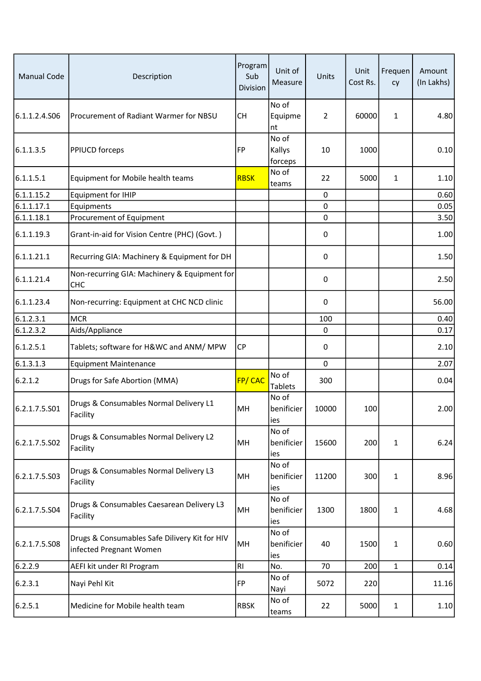| <b>Manual Code</b> | Description                                                              | Program<br>Sub<br>Division | Unit of<br>Measure         | Units       | Unit<br>Cost Rs. | Frequen<br>cy | Amount<br>(In Lakhs) |
|--------------------|--------------------------------------------------------------------------|----------------------------|----------------------------|-------------|------------------|---------------|----------------------|
| 6.1.1.2.4.S06      | Procurement of Radiant Warmer for NBSU                                   | <b>CH</b>                  | No of<br>Equipme<br>nt     | 2           | 60000            | 1             | 4.80                 |
| 6.1.1.3.5          | <b>PPIUCD forceps</b>                                                    | FP                         | No of<br>Kallys<br>forceps | 10          | 1000             |               | 0.10                 |
| 6.1.1.5.1          | Equipment for Mobile health teams                                        | <b>RBSK</b>                | No of<br>teams             | 22          | 5000             | 1             | 1.10                 |
| 6.1.1.15.2         | <b>Equipment for IHIP</b>                                                |                            |                            | 0           |                  |               | 0.60                 |
| 6.1.1.17.1         | Equipments                                                               |                            |                            | $\mathbf 0$ |                  |               | 0.05                 |
| 6.1.1.18.1         | Procurement of Equipment                                                 |                            |                            | $\mathbf 0$ |                  |               | 3.50                 |
| 6.1.1.19.3         | Grant-in-aid for Vision Centre (PHC) (Govt.)                             |                            |                            | $\pmb{0}$   |                  |               | 1.00                 |
| 6.1.1.21.1         | Recurring GIA: Machinery & Equipment for DH                              |                            |                            | $\pmb{0}$   |                  |               | 1.50                 |
| 6.1.1.21.4         | Non-recurring GIA: Machinery & Equipment for<br><b>CHC</b>               |                            |                            | 0           |                  |               | 2.50                 |
| 6.1.1.23.4         | Non-recurring: Equipment at CHC NCD clinic                               |                            |                            | 0           |                  |               | 56.00                |
| 6.1.2.3.1          | <b>MCR</b>                                                               |                            |                            | 100         |                  |               | 0.40                 |
| 6.1.2.3.2          | Aids/Appliance                                                           |                            |                            | 0           |                  |               | 0.17                 |
| 6.1.2.5.1          | Tablets; software for H&WC and ANM/ MPW                                  | CP                         |                            | 0           |                  |               | 2.10                 |
| 6.1.3.1.3          | <b>Equipment Maintenance</b>                                             |                            |                            | $\mathbf 0$ |                  |               | 2.07                 |
| 6.2.1.2            | Drugs for Safe Abortion (MMA)                                            | <b>FP/CAC</b>              | No of<br><b>Tablets</b>    | 300         |                  |               | 0.04                 |
| 6.2.1.7.5.501      | Drugs & Consumables Normal Delivery L1<br>Facility                       | MH                         | No of<br>benificier<br>ies | 10000       | 100              |               | 2.00                 |
| 6.2.1.7.5.S02      | Drugs & Consumables Normal Delivery L2<br>Facility                       | MH                         | No of<br>benificier<br>ies | 15600       | 200              | 1             | 6.24                 |
| 6.2.1.7.5.503      | Drugs & Consumables Normal Delivery L3<br>Facility                       | MH                         | No of<br>benificier<br>ies | 11200       | 300              | 1             | 8.96                 |
| 6.2.1.7.5.S04      | Drugs & Consumables Caesarean Delivery L3<br>Facility                    | MH                         | No of<br>benificier<br>ies | 1300        | 1800             | 1             | 4.68                 |
| 6.2.1.7.5.508      | Drugs & Consumables Safe Dilivery Kit for HIV<br>infected Pregnant Women | MH                         | No of<br>benificier<br>ies | 40          | 1500             | 1             | 0.60                 |
| 6.2.2.9            | AEFI kit under RI Program                                                | R <sub>1</sub>             | No.                        | 70          | 200              | $\mathbf{1}$  | 0.14                 |
| 6.2.3.1            | Nayi Pehl Kit                                                            | FP                         | No of<br>Nayi              | 5072        | 220              |               | 11.16                |
| 6.2.5.1            | Medicine for Mobile health team                                          | <b>RBSK</b>                | No of<br>teams             | 22          | 5000             | 1             | 1.10                 |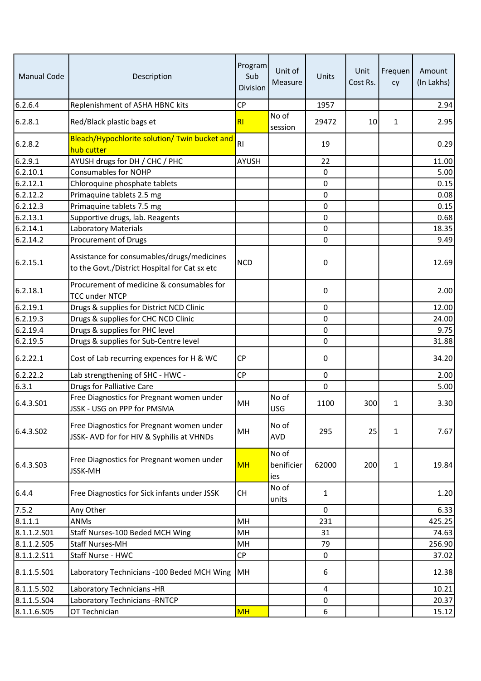| <b>Manual Code</b>    | Description                                                                                 | Program<br>Sub<br>Division | Unit of<br>Measure         | Units       | Unit<br>Cost Rs. | Frequen<br>cy | Amount<br>(In Lakhs) |
|-----------------------|---------------------------------------------------------------------------------------------|----------------------------|----------------------------|-------------|------------------|---------------|----------------------|
| 6.2.6.4               | Replenishment of ASHA HBNC kits                                                             | <b>CP</b>                  |                            | 1957        |                  |               | 2.94                 |
| 6.2.8.1               | Red/Black plastic bags et                                                                   | R1                         | No of<br>session           | 29472       | 10               | $\mathbf{1}$  | 2.95                 |
| 6.2.8.2               | Bleach/Hypochlorite solution/ Twin bucket and<br>hub cutter                                 | R <sub>l</sub>             |                            | 19          |                  |               | 0.29                 |
| 6.2.9.1               | AYUSH drugs for DH / CHC / PHC                                                              | <b>AYUSH</b>               |                            | 22          |                  |               | 11.00                |
| 6.2.10.1              | <b>Consumables for NOHP</b>                                                                 |                            |                            | 0           |                  |               | 5.00                 |
| 6.2.12.1              | Chloroquine phosphate tablets                                                               |                            |                            | 0           |                  |               | 0.15                 |
| 6.2.12.2              | Primaquine tablets 2.5 mg                                                                   |                            |                            | 0           |                  |               | 0.08                 |
| 6.2.12.3              | Primaquine tablets 7.5 mg                                                                   |                            |                            | $\pmb{0}$   |                  |               | 0.15                 |
| 6.2.13.1              | Supportive drugs, lab. Reagents                                                             |                            |                            | 0           |                  |               | 0.68                 |
| 6.2.14.1              | Laboratory Materials                                                                        |                            |                            | 0           |                  |               | 18.35                |
| 6.2.14.2              | Procurement of Drugs                                                                        |                            |                            | $\mathbf 0$ |                  |               | 9.49                 |
| 6.2.15.1              | Assistance for consumables/drugs/medicines<br>to the Govt./District Hospital for Cat sx etc | <b>NCD</b>                 |                            | 0           |                  |               | 12.69                |
| 6.2.18.1              | Procurement of medicine & consumables for<br><b>TCC under NTCP</b>                          |                            |                            | $\mathbf 0$ |                  |               | 2.00                 |
| 6.2.19.1              | Drugs & supplies for District NCD Clinic                                                    |                            |                            | $\mathbf 0$ |                  |               | 12.00                |
| $6.2.19.\overline{3}$ | Drugs & supplies for CHC NCD Clinic                                                         |                            |                            | $\Omega$    |                  |               | 24.00                |
| 6.2.19.4              | Drugs & supplies for PHC level                                                              |                            |                            | 0           |                  |               | 9.75                 |
| 6.2.19.5              | Drugs & supplies for Sub-Centre level                                                       |                            |                            | 0           |                  |               | 31.88                |
| 6.2.22.1              | Cost of Lab recurring expences for H & WC                                                   | <b>CP</b>                  |                            | 0           |                  |               | 34.20                |
| 6.2.22.2              | Lab strengthening of SHC - HWC -                                                            | <b>CP</b>                  |                            | 0           |                  |               | 2.00                 |
| 6.3.1                 | <b>Drugs for Palliative Care</b>                                                            |                            |                            | $\mathbf 0$ |                  |               | 5.00                 |
| 6.4.3.S01             | Free Diagnostics for Pregnant women under<br>JSSK - USG on PPP for PMSMA                    | MH                         | No of<br><b>USG</b>        | 1100        | 300              | $\mathbf{1}$  | 3.30                 |
| 6.4.3.502             | Free Diagnostics for Pregnant women under<br>JSSK- AVD for for HIV & Syphilis at VHNDs      | MH                         | No of<br><b>AVD</b>        | 295         | 25               | 1             | 7.67                 |
| 6.4.3.S03             | Free Diagnostics for Pregnant women under<br><b>JSSK-MH</b>                                 | <b>MH</b>                  | No of<br>benificier<br>ies | 62000       | 200              | $\mathbf{1}$  | 19.84                |
| 6.4.4                 | Free Diagnostics for Sick infants under JSSK                                                | CH                         | No of<br>units             | 1           |                  |               | 1.20                 |
| 7.5.2                 | Any Other                                                                                   |                            |                            | 0           |                  |               | 6.33                 |
| 8.1.1.1               | <b>ANMs</b>                                                                                 | MH                         |                            | 231         |                  |               | 425.25               |
| 8.1.1.2.501           | Staff Nurses-100 Beded MCH Wing                                                             | MH                         |                            | 31          |                  |               | 74.63                |
| 8.1.1.2.505           | <b>Staff Nurses-MH</b>                                                                      | MH                         |                            | 79          |                  |               | 256.90               |
| 8.1.1.2.511           | Staff Nurse - HWC                                                                           | <b>CP</b>                  |                            | 0           |                  |               | 37.02                |
| 8.1.1.5.501           | Laboratory Technicians -100 Beded MCH Wing                                                  | MH                         |                            | 6           |                  |               | 12.38                |
| 8.1.1.5.502           | Laboratory Technicians -HR                                                                  |                            |                            | 4           |                  |               | 10.21                |
| 8.1.1.5.504           | Laboratory Technicians - RNTCP                                                              |                            |                            | 0           |                  |               | 20.37                |
| 8.1.1.6.505           | OT Technician                                                                               | <b>MH</b>                  |                            | 6           |                  |               | 15.12                |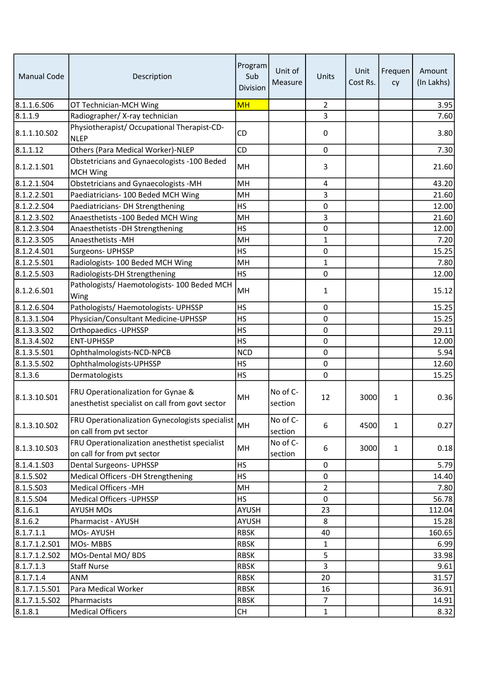| <b>Manual Code</b> | Description                                                                              | Program<br>Sub<br>Division | Unit of<br>Measure  | Units          | Unit<br>Cost Rs. | Frequen<br>cy | Amount<br>(In Lakhs) |
|--------------------|------------------------------------------------------------------------------------------|----------------------------|---------------------|----------------|------------------|---------------|----------------------|
| 8.1.1.6.506        | OT Technician-MCH Wing                                                                   | MH                         |                     | $\overline{2}$ |                  |               | 3.95                 |
| 8.1.1.9            | Radiographer/X-ray technician                                                            |                            |                     | 3              |                  |               | 7.60                 |
| 8.1.1.10.S02       | Physiotherapist/ Occupational Therapist-CD-<br><b>NLEP</b>                               | <b>CD</b>                  |                     | 0              |                  |               | 3.80                 |
| 8.1.1.12           | Others (Para Medical Worker)-NLEP                                                        | <b>CD</b>                  |                     | 0              |                  |               | 7.30                 |
| 8.1.2.1.S01        | Obstetricians and Gynaecologists -100 Beded<br><b>MCH Wing</b>                           | MH                         |                     | 3              |                  |               | 21.60                |
| 8.1.2.1.504        | Obstetricians and Gynaecologists -MH                                                     | MH                         |                     | 4              |                  |               | 43.20                |
| 8.1.2.2.S01        | Paediatricians- 100 Beded MCH Wing                                                       | MH                         |                     | 3              |                  |               | 21.60                |
| 8.1.2.2.504        | Paediatricians- DH Strengthening                                                         | <b>HS</b>                  |                     | $\pmb{0}$      |                  |               | 12.00                |
| 8.1.2.3.502        | Anaesthetists -100 Beded MCH Wing                                                        | MH                         |                     | 3              |                  |               | 21.60                |
| 8.1.2.3.504        | Anaesthetists - DH Strengthening                                                         | <b>HS</b>                  |                     | $\pmb{0}$      |                  |               | 12.00                |
| 8.1.2.3.505        | Anaesthetists - MH                                                                       | MH                         |                     | $\mathbf{1}$   |                  |               | 7.20                 |
| 8.1.2.4.501        | <b>Surgeons- UPHSSP</b>                                                                  | <b>HS</b>                  |                     | 0              |                  |               | 15.25                |
| 8.1.2.5.501        | Radiologists- 100 Beded MCH Wing                                                         | MH                         |                     | $\mathbf{1}$   |                  |               | 7.80                 |
| 8.1.2.5.503        | Radiologists-DH Strengthening                                                            | <b>HS</b>                  |                     | 0              |                  |               | 12.00                |
| 8.1.2.6.S01        | Pathologists/ Haemotologists- 100 Beded MCH<br>Wing                                      | MH                         |                     | $\mathbf{1}$   |                  |               | 15.12                |
| 8.1.2.6.504        | Pathologists/ Haemotologists- UPHSSP                                                     | <b>HS</b>                  |                     | 0              |                  |               | 15.25                |
| 8.1.3.1.504        | Physician/Consultant Medicine-UPHSSP                                                     | <b>HS</b>                  |                     | $\mathbf 0$    |                  |               | 15.25                |
| 8.1.3.3.502        | <b>Orthopaedics - UPHSSP</b>                                                             | <b>HS</b>                  |                     | $\mathbf 0$    |                  |               | 29.11                |
| 8.1.3.4.502        | <b>ENT-UPHSSP</b>                                                                        | <b>HS</b>                  |                     | 0              |                  |               | 12.00                |
| 8.1.3.5.501        | Ophthalmologists-NCD-NPCB                                                                | <b>NCD</b>                 |                     | $\mathbf 0$    |                  |               | 5.94                 |
| 8.1.3.5.502        | Ophthalmologists-UPHSSP                                                                  | <b>HS</b>                  |                     | $\mathbf 0$    |                  |               | 12.60                |
| 8.1.3.6            | Dermatologists                                                                           | <b>HS</b>                  |                     | 0              |                  |               | 15.25                |
| 8.1.3.10.S01       | FRU Operationalization for Gynae &<br>anesthetist specialist on call from govt sector    | MH                         | No of C-<br>section | 12             | 3000             | 1             | 0.36                 |
| 8.1.3.10.S02       | <br> FRU Operationalization Gynecologists specialist  <br> MH<br>on call from pvt sector |                            | No of C-<br>section | 6              | 4500             | $\mathbf{1}$  | 0.27                 |
| 8.1.3.10.503       | FRU Operationalization anesthetist specialist<br>on call for from pvt sector             | MH                         | No of C-<br>section | 6              | 3000             | $\mathbf{1}$  | 0.18                 |
| 8.1.4.1.503        | Dental Surgeons- UPHSSP                                                                  | <b>HS</b>                  |                     | 0              |                  |               | 5.79                 |
| 8.1.5.502          | Medical Officers -DH Strengthening                                                       | <b>HS</b>                  |                     | 0              |                  |               | 14.40                |
| 8.1.5.503          | <b>Medical Officers -MH</b>                                                              | MH                         |                     | $\overline{2}$ |                  |               | 7.80                 |
| 8.1.5.504          | <b>Medical Officers - UPHSSP</b>                                                         | <b>HS</b>                  |                     | 0              |                  |               | 56.78                |
| 8.1.6.1            | <b>AYUSH MOs</b>                                                                         | <b>AYUSH</b>               |                     | 23             |                  |               | 112.04               |
| 8.1.6.2            | Pharmacist - AYUSH                                                                       | AYUSH                      |                     | 8              |                  |               | 15.28                |
| 8.1.7.1.1          | MOs-AYUSH                                                                                | <b>RBSK</b>                |                     | 40             |                  |               | 160.65               |
| 8.1.7.1.2.501      | MOs-MBBS                                                                                 | <b>RBSK</b>                |                     | $\mathbf{1}$   |                  |               | 6.99                 |
| 8.1.7.1.2.502      | MOs-Dental MO/ BDS                                                                       | <b>RBSK</b>                |                     | 5              |                  |               | 33.98                |
| 8.1.7.1.3          | <b>Staff Nurse</b>                                                                       | <b>RBSK</b>                |                     | $\overline{3}$ |                  |               | 9.61                 |
| 8.1.7.1.4          | ANM                                                                                      | <b>RBSK</b>                |                     | 20             |                  |               | 31.57                |
| 8.1.7.1.5.501      | Para Medical Worker                                                                      | <b>RBSK</b>                |                     | 16             |                  |               | 36.91                |
| 8.1.7.1.5.S02      | Pharmacists                                                                              | <b>RBSK</b>                |                     | $\overline{7}$ |                  |               | 14.91                |
| 8.1.8.1            | <b>Medical Officers</b>                                                                  | CH                         |                     | $\mathbf{1}$   |                  |               | 8.32                 |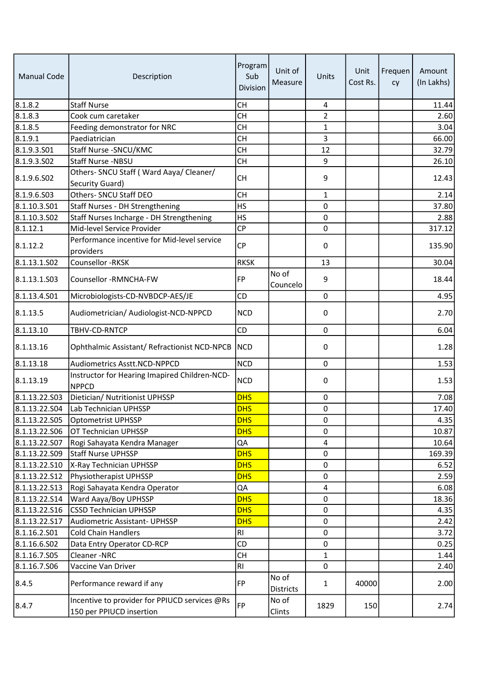| <b>Manual Code</b> | Description                                                               | Program<br>Sub<br>Division | Unit of<br>Measure        | Units          | Unit<br>Cost Rs. | Frequen<br>cy | Amount<br>(In Lakhs) |
|--------------------|---------------------------------------------------------------------------|----------------------------|---------------------------|----------------|------------------|---------------|----------------------|
| 8.1.8.2            | <b>Staff Nurse</b>                                                        | <b>CH</b>                  |                           | $\overline{a}$ |                  |               | 11.44                |
| 8.1.8.3            | Cook cum caretaker                                                        | <b>CH</b>                  |                           | $\overline{2}$ |                  |               | 2.60                 |
| 8.1.8.5            | Feeding demonstrator for NRC                                              | <b>CH</b>                  |                           | $\mathbf{1}$   |                  |               | 3.04                 |
| 8.1.9.1            | Paediatrician                                                             | <b>CH</b>                  |                           | $\overline{3}$ |                  |               | 66.00                |
| 8.1.9.3.501        | Staff Nurse - SNCU/KMC                                                    | <b>CH</b>                  |                           | 12             |                  |               | 32.79                |
| 8.1.9.3.502        | Staff Nurse -NBSU                                                         | <b>CH</b>                  |                           | 9              |                  |               | 26.10                |
| 8.1.9.6.502        | Others- SNCU Staff (Ward Aaya/ Cleaner/<br>Security Guard)                | <b>CH</b>                  |                           | 9              |                  |               | 12.43                |
| 8.1.9.6.S03        | Others- SNCU Staff DEO                                                    | <b>CH</b>                  |                           | $\mathbf{1}$   |                  |               | 2.14                 |
| 8.1.10.3.501       | Staff Nurses - DH Strengthening                                           | <b>HS</b>                  |                           | $\mathbf 0$    |                  |               | 37.80                |
| 8.1.10.3.502       | Staff Nurses Incharge - DH Strengthening                                  | <b>HS</b>                  |                           | $\mathbf 0$    |                  |               | 2.88                 |
| 8.1.12.1           | Mid-level Service Provider                                                | <b>CP</b>                  |                           | $\mathbf 0$    |                  |               | 317.12               |
| 8.1.12.2           | Performance incentive for Mid-level service<br>providers                  | <b>CP</b>                  |                           | 0              |                  |               | 135.90               |
| 8.1.13.1.502       | Counsellor - RKSK                                                         | <b>RKSK</b>                |                           | 13             |                  |               | 30.04                |
| 8.1.13.1.S03       | Counsellor -RMNCHA-FW                                                     | <b>FP</b>                  | No of<br>Councelo         | 9              |                  |               | 18.44                |
| 8.1.13.4.501       | Microbiologists-CD-NVBDCP-AES/JE                                          | CD                         |                           | $\mathbf 0$    |                  |               | 4.95                 |
| 8.1.13.5           | Audiometrician/ Audiologist-NCD-NPPCD                                     | <b>NCD</b>                 |                           | 0              |                  |               | 2.70                 |
| 8.1.13.10          | TBHV-CD-RNTCP                                                             | CD                         |                           | $\mathbf 0$    |                  |               | 6.04                 |
| 8.1.13.16          | Ophthalmic Assistant/ Refractionist NCD-NPCB                              | <b>NCD</b>                 |                           | 0              |                  |               | 1.28                 |
| 8.1.13.18          | Audiometrics Asstt.NCD-NPPCD                                              | <b>NCD</b>                 |                           | $\mathbf 0$    |                  |               | 1.53                 |
| 8.1.13.19          | Instructor for Hearing Imapired Children-NCD-<br><b>NPPCD</b>             | <b>NCD</b>                 |                           | $\pmb{0}$      |                  |               | 1.53                 |
| 8.1.13.22.S03      | Dietician/ Nutritionist UPHSSP                                            | <b>DHS</b>                 |                           | $\mathbf 0$    |                  |               | 7.08                 |
| 8.1.13.22.504      | Lab Technician UPHSSP                                                     | <b>DHS</b>                 |                           | $\pmb{0}$      |                  |               | 17.40                |
| 8.1.13.22.505      | Optometrist UPHSSP                                                        | <b>DHS</b>                 |                           | $\pmb{0}$      |                  |               | 4.35                 |
| 8.1.13.22.506      | OT Technician UPHSSP                                                      | <b>DHS</b>                 |                           | $\mathbf 0$    |                  |               | 10.87                |
| 8.1.13.22.S07      | Rogi Sahayata Kendra Manager                                              | QA                         |                           | 4              |                  |               | 10.64                |
| 8.1.13.22.509      | Staff Nurse UPHSSP                                                        | <b>DHS</b>                 |                           | $\mathbf 0$    |                  |               | 169.39               |
| 8.1.13.22.510      | X-Ray Technician UPHSSP                                                   | <b>DHS</b>                 |                           | $\mathbf 0$    |                  |               | 6.52                 |
| 8.1.13.22.512      | Physiotherapist UPHSSP                                                    | <b>DHS</b>                 |                           | 0              |                  |               | 2.59                 |
| 8.1.13.22.513      | Rogi Sahayata Kendra Operator                                             | QA                         |                           | $\overline{4}$ |                  |               | 6.08                 |
| 8.1.13.22.514      | Ward Aaya/Boy UPHSSP                                                      | <b>DHS</b>                 |                           | $\mathbf 0$    |                  |               | 18.36                |
| 8.1.13.22.S16      | <b>CSSD Technician UPHSSP</b>                                             | <b>DHS</b>                 |                           | $\mathbf 0$    |                  |               | 4.35                 |
| 8.1.13.22.S17      | Audiometric Assistant- UPHSSP                                             | <b>DHS</b>                 |                           | $\mathbf 0$    |                  |               | 2.42                 |
| 8.1.16.2.501       | <b>Cold Chain Handlers</b>                                                | RI                         |                           | $\mathbf 0$    |                  |               | 3.72                 |
| 8.1.16.6.502       | Data Entry Operator CD-RCP                                                | CD                         |                           | $\mathbf 0$    |                  |               | 0.25                 |
| 8.1.16.7.S05       | Cleaner-NRC                                                               | <b>CH</b>                  |                           | $\mathbf{1}$   |                  |               | 1.44                 |
| 8.1.16.7.506       | Vaccine Van Driver                                                        | RI                         |                           | $\mathbf 0$    |                  |               | 2.40                 |
| 8.4.5              | Performance reward if any                                                 | FP                         | No of<br><b>Districts</b> | $\mathbf{1}$   | 40000            |               | 2.00                 |
| 8.4.7              | Incentive to provider for PPIUCD services @Rs<br>150 per PPIUCD insertion | FP                         | No of<br>Clints           | 1829           | 150              |               | 2.74                 |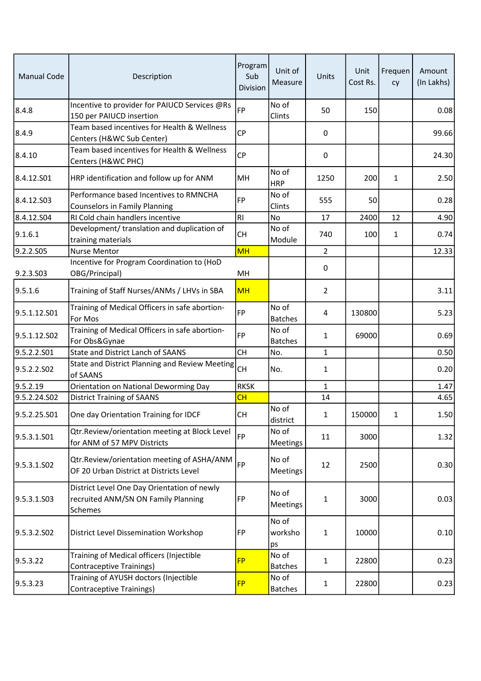| <b>Manual Code</b> | Description                                                                                   | Program<br>Sub<br>Division | Unit of<br>Measure      | Units          | Unit<br>Cost Rs. | Frequen<br>cy | Amount<br>(In Lakhs) |
|--------------------|-----------------------------------------------------------------------------------------------|----------------------------|-------------------------|----------------|------------------|---------------|----------------------|
| 8.4.8              | Incentive to provider for PAIUCD Services @Rs<br>150 per PAIUCD insertion                     | FP                         | No of<br>Clints         | 50             | 150              |               | 0.08                 |
| 8.4.9              | Team based incentives for Health & Wellness<br>Centers (H&WC Sub Center)                      | <b>CP</b>                  |                         | 0              |                  |               | 99.66                |
| 8.4.10             | Team based incentives for Health & Wellness<br>Centers (H&WC PHC)                             | <b>CP</b>                  |                         | $\mathbf 0$    |                  |               | 24.30                |
| 8.4.12.501         | HRP identification and follow up for ANM                                                      | MH                         | No of<br><b>HRP</b>     | 1250           | 200              | 1             | 2.50                 |
| 8.4.12.S03         | Performance based Incentives to RMNCHA<br><b>Counselors in Family Planning</b>                | <b>FP</b>                  | No of<br>Clints         | 555            | 50               |               | 0.28                 |
| 8.4.12.S04         | RI Cold chain handlers incentive                                                              | RI                         | <b>No</b>               | 17             | 2400             | 12            | 4.90                 |
| 9.1.6.1            | Development/ translation and duplication of<br>training materials                             | <b>CH</b>                  | No of<br>Module         | 740            | 100              | 1             | 0.74                 |
| 9.2.2.S05          | <b>Nurse Mentor</b>                                                                           | <b>MH</b>                  |                         | $\overline{2}$ |                  |               | 12.33                |
| 9.2.3.S03          | Incentive for Program Coordination to (HoD<br>OBG/Principal)                                  | MH                         |                         | 0              |                  |               |                      |
| 9.5.1.6            | Training of Staff Nurses/ANMs / LHVs in SBA                                                   | <b>MH</b>                  |                         | $\overline{2}$ |                  |               | 3.11                 |
| 9.5.1.12.S01       | Training of Medical Officers in safe abortion-<br>For Mos                                     | <b>FP</b>                  | No of<br><b>Batches</b> | 4              | 130800           |               | 5.23                 |
| 9.5.1.12.S02       | Training of Medical Officers in safe abortion-<br>For Obs&Gynae                               | <b>FP</b>                  | No of<br><b>Batches</b> | $\mathbf{1}$   | 69000            |               | 0.69                 |
| 9.5.2.2.S01        | <b>State and District Lanch of SAANS</b>                                                      | <b>CH</b>                  | No.                     | $\mathbf{1}$   |                  |               | 0.50                 |
| 9.5.2.2.502        | State and District Planning and Review Meeting<br>of SAANS                                    | lсн                        | No.                     | $\mathbf{1}$   |                  |               | 0.20                 |
| 9.5.2.19           | Orientation on National Deworming Day                                                         | <b>RKSK</b>                |                         | $\mathbf{1}$   |                  |               | 1.47                 |
| 9.5.2.24.S02       | <b>District Training of SAANS</b>                                                             | CH                         |                         | 14             |                  |               | 4.65                 |
| 9.5.2.25.S01       | One day Orientation Training for IDCF                                                         | <b>CH</b>                  | No of<br>district       | 1              | 150000           | 1             | 1.50                 |
| 9.5.3.1.S01        | Qtr.Review/orientation meeting at Block Level<br>for ANM of 57 MPV Districts                  | FP                         | No of<br>Meetings       | 11             | 3000             |               | 1.32                 |
| 9.5.3.1.S02        | Qtr.Review/orientation meeting of ASHA/ANM<br>OF 20 Urban District at Districts Level         | FP                         | No of<br>Meetings       | 12             | 2500             |               | 0.30                 |
| 9.5.3.1.S03        | District Level One Day Orientation of newly<br>recruited ANM/SN ON Family Planning<br>Schemes | FP                         | No of<br>Meetings       | $\mathbf{1}$   | 3000             |               | 0.03                 |
| 9.5.3.2.S02        | District Level Dissemination Workshop                                                         | FP                         | No of<br>worksho<br>ps  | $\mathbf{1}$   | 10000            |               | 0.10                 |
| 9.5.3.22           | Training of Medical officers (Injectible<br><b>Contraceptive Trainings)</b>                   | <b>FP</b>                  | No of<br><b>Batches</b> | $\mathbf{1}$   | 22800            |               | 0.23                 |
| 9.5.3.23           | Training of AYUSH doctors (Injectible<br>Contraceptive Trainings)                             | <b>FP</b>                  | No of<br><b>Batches</b> | $\mathbf{1}$   | 22800            |               | 0.23                 |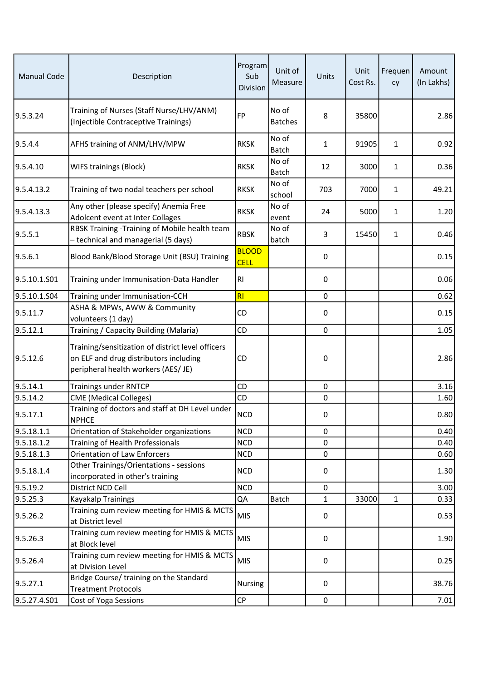| <b>Manual Code</b> | Description                                                                                                                        | Program<br>Sub<br>Division  | Unit of<br>Measure      | Units        | Unit<br>Cost Rs. | Frequen<br>cy | Amount<br>(In Lakhs) |
|--------------------|------------------------------------------------------------------------------------------------------------------------------------|-----------------------------|-------------------------|--------------|------------------|---------------|----------------------|
| 9.5.3.24           | Training of Nurses (Staff Nurse/LHV/ANM)<br>(Injectible Contraceptive Trainings)                                                   | <b>FP</b>                   | No of<br><b>Batches</b> | 8            | 35800            |               | 2.86                 |
| 9.5.4.4            | AFHS training of ANM/LHV/MPW                                                                                                       | <b>RKSK</b>                 | No of<br><b>Batch</b>   | $\mathbf{1}$ | 91905            | $\mathbf{1}$  | 0.92                 |
| 9.5.4.10           | WIFS trainings (Block)                                                                                                             | <b>RKSK</b>                 | No of<br>Batch          | 12           | 3000             | 1             | 0.36                 |
| 9.5.4.13.2         | Training of two nodal teachers per school                                                                                          | <b>RKSK</b>                 | No of<br>school         | 703          | 7000             | $\mathbf{1}$  | 49.21                |
| 9.5.4.13.3         | Any other (please specify) Anemia Free<br>Adolcent event at Inter Collages                                                         | <b>RKSK</b>                 | No of<br>event          | 24           | 5000             | $\mathbf{1}$  | 1.20                 |
| 9.5.5.1            | RBSK Training -Training of Mobile health team<br>- technical and managerial (5 days)                                               | <b>RBSK</b>                 | No of<br>batch          | 3            | 15450            | $\mathbf{1}$  | 0.46                 |
| 9.5.6.1            | Blood Bank/Blood Storage Unit (BSU) Training                                                                                       | <b>BLOOD</b><br><b>CELL</b> |                         | 0            |                  |               | 0.15                 |
| 9.5.10.1.S01       | Training under Immunisation-Data Handler                                                                                           | RI                          |                         | $\mathbf{0}$ |                  |               | 0.06                 |
| 9.5.10.1.S04       | Training under Immunisation-CCH                                                                                                    | RI                          |                         | $\mathbf 0$  |                  |               | 0.62                 |
| 9.5.11.7           | ASHA & MPWs, AWW & Community<br>volunteers (1 day)                                                                                 | CD                          |                         | 0            |                  |               | 0.15                 |
| 9.5.12.1           | Training / Capacity Building (Malaria)                                                                                             | CD                          |                         | $\mathbf 0$  |                  |               | 1.05                 |
| 9.5.12.6           | Training/sensitization of district level officers<br>on ELF and drug distributors including<br>peripheral health workers (AES/ JE) | CD                          |                         | $\mathbf 0$  |                  |               | 2.86                 |
| 9.5.14.1           | <b>Trainings under RNTCP</b>                                                                                                       | CD                          |                         | $\mathbf 0$  |                  |               | 3.16                 |
| 9.5.14.2           | <b>CME</b> (Medical Colleges)                                                                                                      | CD                          |                         | $\pmb{0}$    |                  |               | 1.60                 |
| 9.5.17.1           | Training of doctors and staff at DH Level under<br><b>NPHCE</b>                                                                    | NCD                         |                         | 0            |                  |               | 0.80                 |
| 9.5.18.1.1         | Orientation of Stakeholder organizations                                                                                           | <b>NCD</b>                  |                         | $\mathbf 0$  |                  |               | 0.40                 |
| 9.5.18.1.2         | Training of Health Professionals                                                                                                   | <b>NCD</b>                  |                         | 0            |                  |               | 0.40                 |
| 9.5.18.1.3         | <b>Orientation of Law Enforcers</b>                                                                                                | <b>NCD</b>                  |                         | 0            |                  |               | 0.60                 |
| 9.5.18.1.4         | Other Trainings/Orientations - sessions<br>incorporated in other's training                                                        | <b>NCD</b>                  |                         | 0            |                  |               | 1.30                 |
| 9.5.19.2           | District NCD Cell                                                                                                                  | <b>NCD</b>                  |                         | $\mathbf 0$  |                  |               | 3.00                 |
| 9.5.25.3           | Kayakalp Trainings                                                                                                                 | QA                          | Batch                   | $\mathbf{1}$ | 33000            | $\mathbf{1}$  | 0.33                 |
| 9.5.26.2           | Training cum review meeting for HMIS & MCTS                                                                                        | <b>MIS</b>                  |                         | 0            |                  |               | 0.53                 |
|                    | at District level                                                                                                                  |                             |                         |              |                  |               |                      |
| 9.5.26.3           | Training cum review meeting for HMIS & MCTS<br>at Block level                                                                      | <b>MIS</b>                  |                         | 0            |                  |               | 1.90                 |
| 9.5.26.4           | Training cum review meeting for HMIS & MCTS<br>at Division Level                                                                   | <b>MIS</b>                  |                         | $\mathbf{0}$ |                  |               | 0.25                 |
| 9.5.27.1           | Bridge Course/ training on the Standard<br><b>Treatment Protocols</b>                                                              | <b>Nursing</b>              |                         | 0            |                  |               | 38.76                |
| 9.5.27.4.S01       | Cost of Yoga Sessions                                                                                                              | CP                          |                         | $\pmb{0}$    |                  |               | 7.01                 |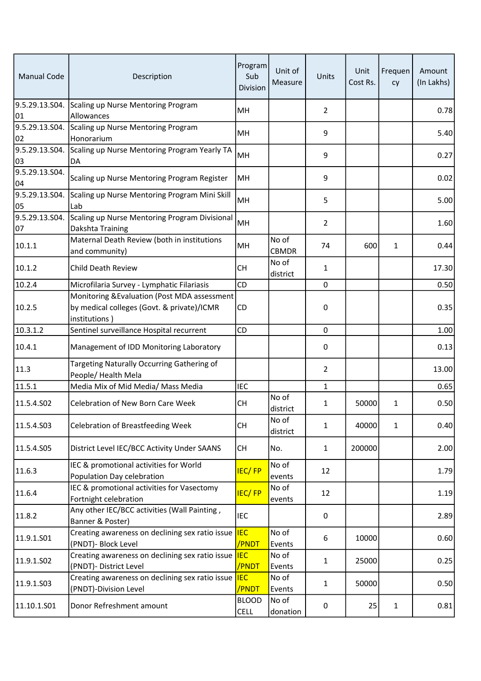| <b>Manual Code</b>   | Description                                                                                                 | Program<br>Sub<br>Division  | Unit of<br>Measure    | Units          | Unit<br>Cost Rs. | Frequen<br>cy | Amount<br>(In Lakhs) |
|----------------------|-------------------------------------------------------------------------------------------------------------|-----------------------------|-----------------------|----------------|------------------|---------------|----------------------|
| 01                   | 9.5.29.13.S04. Scaling up Nurse Mentoring Program<br>Allowances                                             | MН                          |                       | $\overline{2}$ |                  |               | 0.78                 |
| 9.5.29.13.S04.<br>02 | Scaling up Nurse Mentoring Program<br>Honorarium                                                            | MH                          |                       | 9              |                  |               | 5.40                 |
| 03                   | 9.5.29.13.S04. Scaling up Nurse Mentoring Program Yearly TA<br>DA                                           | MH                          |                       | 9              |                  |               | 0.27                 |
| 9.5.29.13.S04.<br>04 | Scaling up Nurse Mentoring Program Register                                                                 | MH                          |                       | 9              |                  |               | 0.02                 |
| 9.5.29.13.S04.<br>05 | Scaling up Nurse Mentoring Program Mini Skill<br>Lab                                                        | MH                          |                       | 5              |                  |               | 5.00                 |
| 9.5.29.13.504.<br>07 | Scaling up Nurse Mentoring Program Divisional<br>Dakshta Training                                           | MH                          |                       | $\overline{2}$ |                  |               | 1.60                 |
| 10.1.1               | Maternal Death Review (both in institutions<br>and community)                                               | MН                          | No of<br><b>CBMDR</b> | 74             | 600              | 1             | 0.44                 |
| 10.1.2               | Child Death Review                                                                                          | <b>CH</b>                   | No of<br>district     | 1              |                  |               | 17.30                |
| 10.2.4               | Microfilaria Survey - Lymphatic Filariasis                                                                  | CD                          |                       | $\mathbf 0$    |                  |               | 0.50                 |
| 10.2.5               | Monitoring & Evaluation (Post MDA assessment<br>by medical colleges (Govt. & private)/ICMR<br>institutions) | <b>CD</b>                   |                       | 0              |                  |               | 0.35                 |
| 10.3.1.2             | Sentinel surveillance Hospital recurrent                                                                    | CD                          |                       | $\mathbf 0$    |                  |               | 1.00                 |
| 10.4.1               | Management of IDD Monitoring Laboratory                                                                     |                             |                       | 0              |                  |               | 0.13                 |
| 11.3                 | Targeting Naturally Occurring Gathering of<br>People/ Health Mela                                           |                             |                       | $\overline{2}$ |                  |               | 13.00                |
| 11.5.1               | Media Mix of Mid Media/ Mass Media                                                                          | <b>IEC</b>                  |                       | $\mathbf{1}$   |                  |               | 0.65                 |
| 11.5.4.S02           | Celebration of New Born Care Week                                                                           | <b>CH</b>                   | No of<br>district     | 1              | 50000            | 1             | 0.50                 |
| 11.5.4.503           | <b>Celebration of Breastfeeding Week</b>                                                                    | CH                          | No of<br>district     | $\mathbf{1}$   | 40000            | 1             | 0.40                 |
| 11.5.4.S05           | District Level IEC/BCC Activity Under SAANS                                                                 | <b>CH</b>                   | No.                   | $\mathbf{1}$   | 200000           |               | 2.00                 |
| 11.6.3               | IEC & promotional activities for World<br>Population Day celebration                                        | <b>IEC/FP</b>               | No of<br>events       | 12             |                  |               | 1.79                 |
| 11.6.4               | IEC & promotional activities for Vasectomy<br>Fortnight celebration                                         | <b>IEC/FP</b>               | No of<br>events       | 12             |                  |               | 1.19                 |
| 11.8.2               | Any other IEC/BCC activities (Wall Painting,<br>Banner & Poster)                                            | <b>IEC</b>                  |                       | $\pmb{0}$      |                  |               | 2.89                 |
| 11.9.1.S01           | Creating awareness on declining sex ratio issue IEC<br>(PNDT)- Block Level                                  | /PNDT                       | No of<br>Events       | 6              | 10000            |               | 0.60                 |
| 11.9.1.S02           | Creating awareness on declining sex ratio issue  IEC<br>(PNDT)- District Level                              | /PNDT                       | No of<br>Events       | $\mathbf{1}$   | 25000            |               | 0.25                 |
| 11.9.1.S03           | Creating awareness on declining sex ratio issue<br>(PNDT)-Division Level                                    | <b>IEC</b><br>/PNDT         | No of<br>Events       | $\mathbf{1}$   | 50000            |               | 0.50                 |
| 11.10.1.501          | Donor Refreshment amount                                                                                    | <b>BLOOD</b><br><b>CELL</b> | No of<br>donation     | $\pmb{0}$      | 25               | 1             | 0.81                 |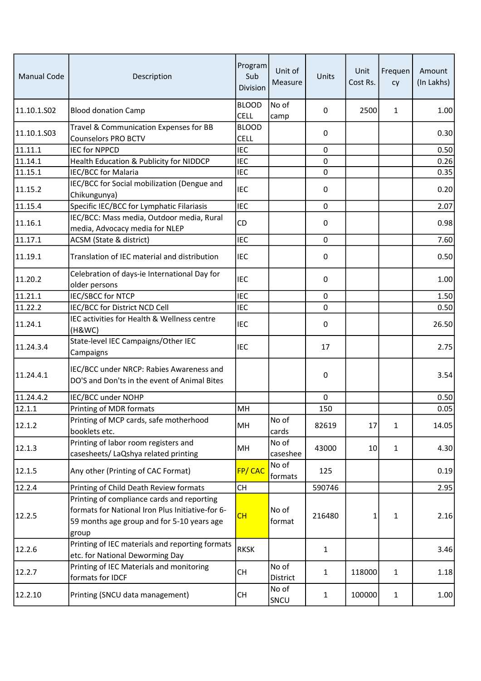| <b>Manual Code</b> | Description                                                                                                                                           | Program<br>Sub<br>Division  | Unit of<br>Measure | Units        | Unit<br>Cost Rs. | Frequen<br>cy | Amount<br>(In Lakhs) |
|--------------------|-------------------------------------------------------------------------------------------------------------------------------------------------------|-----------------------------|--------------------|--------------|------------------|---------------|----------------------|
| 11.10.1.S02        | <b>Blood donation Camp</b>                                                                                                                            | <b>BLOOD</b><br><b>CELL</b> | No of<br>camp      | 0            | 2500             | 1             | 1.00                 |
| 11.10.1.S03        | Travel & Communication Expenses for BB<br><b>Counselors PRO BCTV</b>                                                                                  | <b>BLOOD</b><br><b>CELL</b> |                    | 0            |                  |               | 0.30                 |
| 11.11.1            | <b>IEC for NPPCD</b>                                                                                                                                  | <b>IEC</b>                  |                    | $\mathbf 0$  |                  |               | 0.50                 |
| 11.14.1            | Health Education & Publicity for NIDDCP                                                                                                               | <b>IEC</b>                  |                    | 0            |                  |               | 0.26                 |
| 11.15.1            | IEC/BCC for Malaria                                                                                                                                   | <b>IEC</b>                  |                    | 0            |                  |               | 0.35                 |
| 11.15.2            | IEC/BCC for Social mobilization (Dengue and<br>Chikungunya)                                                                                           | <b>IEC</b>                  |                    | 0            |                  |               | 0.20                 |
| 11.15.4            | Specific IEC/BCC for Lymphatic Filariasis                                                                                                             | <b>IEC</b>                  |                    | $\mathbf 0$  |                  |               | 2.07                 |
| 11.16.1            | IEC/BCC: Mass media, Outdoor media, Rural<br>media, Advocacy media for NLEP                                                                           | CD                          |                    | 0            |                  |               | 0.98                 |
| 11.17.1            | ACSM (State & district)                                                                                                                               | <b>IEC</b>                  |                    | 0            |                  |               | 7.60                 |
| 11.19.1            | Translation of IEC material and distribution                                                                                                          | <b>IEC</b>                  |                    | 0            |                  |               | 0.50                 |
| 11.20.2            | Celebration of days-ie International Day for<br>older persons                                                                                         | <b>IEC</b>                  |                    | 0            |                  |               | 1.00                 |
| $\sqrt{11.21.1}$   | IEC/SBCC for NTCP                                                                                                                                     | <b>IEC</b>                  |                    | 0            |                  |               | 1.50                 |
| 11.22.2            | IEC/BCC for District NCD Cell                                                                                                                         | <b>IEC</b>                  |                    | $\mathbf 0$  |                  |               | 0.50                 |
| 11.24.1            | IEC activities for Health & Wellness centre<br>(H&WC)                                                                                                 | <b>IEC</b>                  |                    | $\mathbf 0$  |                  |               | 26.50                |
| 11.24.3.4          | State-level IEC Campaigns/Other IEC<br>Campaigns                                                                                                      | <b>IEC</b>                  |                    | 17           |                  |               | 2.75                 |
| 11.24.4.1          | IEC/BCC under NRCP: Rabies Awareness and<br>DO'S and Don'ts in the event of Animal Bites                                                              |                             |                    | 0            |                  |               | 3.54                 |
| 11.24.4.2          | IEC/BCC under NOHP                                                                                                                                    |                             |                    | $\mathbf 0$  |                  |               | 0.50                 |
| 12.1.1             | Printing of MDR formats                                                                                                                               | MH                          |                    | 150          |                  |               | 0.05                 |
| 12.1.2             | Printing of MCP cards, safe motherhood<br>booklets etc.                                                                                               | MH                          | No of<br>cards     | 82619        | 17               | $\mathbf{1}$  | 14.05                |
| 12.1.3             | Printing of labor room registers and<br>casesheets/ LaQshya related printing                                                                          | MH                          | No of<br>caseshee  | 43000        | 10               | $\mathbf{1}$  | 4.30                 |
| 12.1.5             | Any other (Printing of CAC Format)                                                                                                                    | FP/CAC                      | No of<br>formats   | 125          |                  |               | 0.19                 |
| 12.2.4             | Printing of Child Death Review formats                                                                                                                | CH                          |                    | 590746       |                  |               | 2.95                 |
| 12.2.5             | Printing of compliance cards and reporting<br>formats for National Iron Plus Initiative-for 6-<br>59 months age group and for 5-10 years age<br>group | CH                          | No of<br>format    | 216480       | 1                | 1             | 2.16                 |
| 12.2.6             | Printing of IEC materials and reporting formats<br>etc. for National Deworming Day                                                                    | <b>RKSK</b>                 |                    | $\mathbf{1}$ |                  |               | 3.46                 |
| 12.2.7             | Printing of IEC Materials and monitoring<br>formats for IDCF                                                                                          | <b>CH</b>                   | No of<br>District  | 1            | 118000           | $\mathbf{1}$  | 1.18                 |
| 12.2.10            | Printing (SNCU data management)                                                                                                                       | CH                          | No of<br>SNCU      | 1            | 100000           | $\mathbf{1}$  | 1.00                 |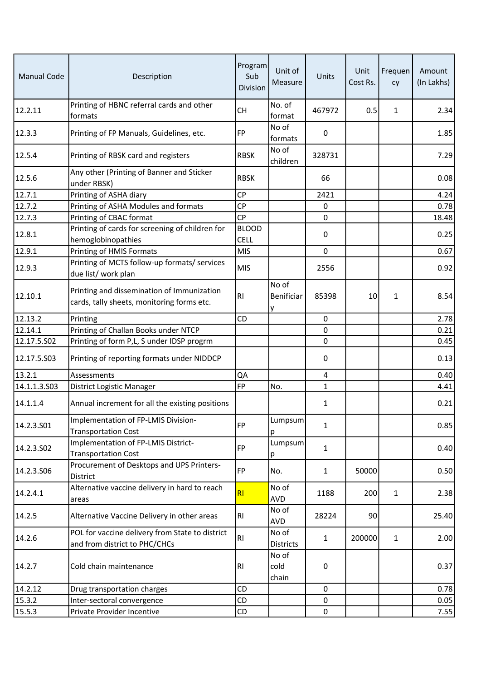| <b>Manual Code</b> | Description                                                                              | Program<br>Sub<br>Division  | Unit of<br>Measure        | Units          | Unit<br>Cost Rs. | Frequen<br>cy | Amount<br>(In Lakhs) |
|--------------------|------------------------------------------------------------------------------------------|-----------------------------|---------------------------|----------------|------------------|---------------|----------------------|
| 12.2.11            | Printing of HBNC referral cards and other<br>formats                                     | <b>CH</b>                   | No. of<br>format          | 467972         | 0.5              | 1             | 2.34                 |
| 12.3.3             | Printing of FP Manuals, Guidelines, etc.                                                 | FP                          | No of<br>formats          | 0              |                  |               | 1.85                 |
| 12.5.4             | Printing of RBSK card and registers                                                      | <b>RBSK</b>                 | No of<br>children         | 328731         |                  |               | 7.29                 |
| 12.5.6             | Any other (Printing of Banner and Sticker<br>under RBSK)                                 | <b>RBSK</b>                 |                           | 66             |                  |               | 0.08                 |
| 12.7.1             | Printing of ASHA diary                                                                   | <b>CP</b>                   |                           | 2421           |                  |               | 4.24                 |
| 12.7.2             | Printing of ASHA Modules and formats                                                     | <b>CP</b>                   |                           | 0              |                  |               | 0.78                 |
| 12.7.3             | Printing of CBAC format                                                                  | <b>CP</b>                   |                           | $\mathbf 0$    |                  |               | 18.48                |
| 12.8.1             | Printing of cards for screening of children for<br>hemoglobinopathies                    | <b>BLOOD</b><br><b>CELL</b> |                           | 0              |                  |               | 0.25                 |
| 12.9.1             | Printing of HMIS Formats                                                                 | <b>MIS</b>                  |                           | $\mathbf 0$    |                  |               | 0.67                 |
| 12.9.3             | Printing of MCTS follow-up formats/ services<br>due list/ work plan                      | MIS                         |                           | 2556           |                  |               | 0.92                 |
| 12.10.1            | Printing and dissemination of Immunization<br>cards, tally sheets, monitoring forms etc. | R <sub>1</sub>              | No of<br>Benificiar<br>y  | 85398          | 10               | 1             | 8.54                 |
| 12.13.2            | Printing                                                                                 | CD                          |                           | $\mathbf 0$    |                  |               | 2.78                 |
| 12.14.1            | Printing of Challan Books under NTCP                                                     |                             |                           | $\mathbf 0$    |                  |               | 0.21                 |
| 12.17.5.502        | Printing of form P,L, S under IDSP progrm                                                |                             |                           | $\pmb{0}$      |                  |               | 0.45                 |
| 12.17.5.503        | Printing of reporting formats under NIDDCP                                               |                             |                           | 0              |                  |               | 0.13                 |
| 13.2.1             | Assessments                                                                              | QA                          |                           | $\overline{4}$ |                  |               | 0.40                 |
| 14.1.1.3.503       | District Logistic Manager                                                                | <b>FP</b>                   | No.                       | $\mathbf{1}$   |                  |               | 4.41                 |
| 14.1.1.4           | Annual increment for all the existing positions                                          |                             |                           | 1              |                  |               | 0.21                 |
| 14.2.3.S01         | Implementation of FP-LMIS Division-<br><b>Transportation Cost</b>                        | FP                          | Lumpsum<br>р              | $\mathbf{1}$   |                  |               | 0.85                 |
| 14.2.3.S02         | Implementation of FP-LMIS District-<br><b>Transportation Cost</b>                        | FP                          | Lumpsum<br>р              | $\mathbf{1}$   |                  |               | 0.40                 |
| 14.2.3.S06         | Procurement of Desktops and UPS Printers-<br>District                                    | FP                          | No.                       | $\mathbf{1}$   | 50000            |               | 0.50                 |
| 14.2.4.1           | Alternative vaccine delivery in hard to reach<br>areas                                   | RI                          | No of<br>AVD              | 1188           | 200              | 1             | 2.38                 |
| 14.2.5             | Alternative Vaccine Delivery in other areas                                              | RI                          | No of<br>AVD              | 28224          | 90               |               | 25.40                |
| 14.2.6             | POL for vaccine delivery from State to district<br>and from district to PHC/CHCs         | RI                          | No of<br><b>Districts</b> | 1              | 200000           | $\mathbf{1}$  | 2.00                 |
| 14.2.7             | Cold chain maintenance                                                                   | RI                          | No of<br>cold<br>chain    | $\pmb{0}$      |                  |               | 0.37                 |
| 14.2.12            | Drug transportation charges                                                              | CD                          |                           | 0              |                  |               | 0.78                 |
| 15.3.2             | Inter-sectoral convergence                                                               | CD                          |                           | 0              |                  |               | 0.05                 |
| 15.5.3             | Private Provider Incentive                                                               | CD                          |                           | $\mathbf 0$    |                  |               | 7.55                 |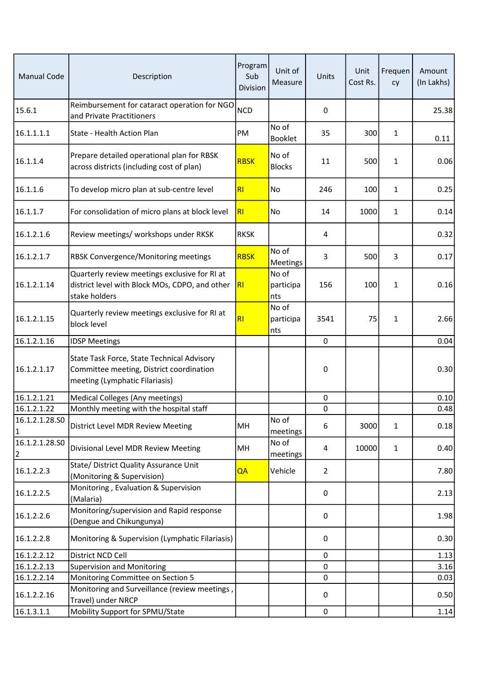| <b>Manual Code</b>               | Description                                                                                                              | Program<br>Sub<br>Division | Unit of<br>Measure        | Units          | Unit<br>Cost Rs. | Frequen<br>cy | Amount<br>(In Lakhs) |
|----------------------------------|--------------------------------------------------------------------------------------------------------------------------|----------------------------|---------------------------|----------------|------------------|---------------|----------------------|
| 15.6.1                           | Reimbursement for cataract operation for NGO<br>and Private Practitioners                                                | <b>NCD</b>                 |                           | $\mathbf 0$    |                  |               | 25.38                |
| 16.1.1.1.1                       | State - Health Action Plan                                                                                               | PM                         | No of<br>Booklet          | 35             | 300              | $\mathbf{1}$  | 0.11                 |
| 16.1.1.4                         | Prepare detailed operational plan for RBSK<br>across districts (including cost of plan)                                  | <b>RBSK</b>                | No of<br><b>Blocks</b>    | 11             | 500              | $\mathbf{1}$  | 0.06                 |
| 16.1.1.6                         | To develop micro plan at sub-centre level                                                                                | RI                         | No                        | 246            | 100              | $\mathbf{1}$  | 0.25                 |
| 16.1.1.7                         | For consolidation of micro plans at block level                                                                          | RI                         | No                        | 14             | 1000             | 1             | 0.14                 |
| 16.1.2.1.6                       | Review meetings/ workshops under RKSK                                                                                    | <b>RKSK</b>                |                           | 4              |                  |               | 0.32                 |
| 16.1.2.1.7                       | RBSK Convergence/Monitoring meetings                                                                                     | <b>RBSK</b>                | No of<br>Meetings         | 3              | 500              | 3             | 0.17                 |
| 16.1.2.1.14                      | Quarterly review meetings exclusive for RI at<br>district level with Block MOs, CDPO, and other<br>stake holders         | RI                         | No of<br>participa<br>nts | 156            | 100              | $\mathbf{1}$  | 0.16                 |
| 16.1.2.1.15                      | Quarterly review meetings exclusive for RI at<br>block level                                                             | RI                         | No of<br>participa<br>nts | 3541           | 75               | $\mathbf{1}$  | 2.66                 |
| 16.1.2.1.16                      | <b>IDSP Meetings</b>                                                                                                     |                            |                           | $\pmb{0}$      |                  |               | 0.04                 |
| 16.1.2.1.17                      | State Task Force, State Technical Advisory<br>Committee meeting, District coordination<br>meeting (Lymphatic Filariasis) |                            |                           | 0              |                  |               | 0.30                 |
| 16.1.2.1.21                      | Medical Colleges (Any meetings)                                                                                          |                            |                           | $\mathbf 0$    |                  |               | 0.10                 |
| 16.1.2.1.22                      | Monthly meeting with the hospital staff                                                                                  |                            |                           | $\pmb{0}$      |                  |               | 0.48                 |
| 16.1.2.1.28.S0<br>$\mathbf{1}$   | District Level MDR Review Meeting                                                                                        | MH                         | No of<br>meetings         | 6              | 3000             | 1             | 0.18                 |
| 16.1.2.1.28.SO<br>$\overline{2}$ | Divisional Level MDR Review Meeting                                                                                      | MH                         | No of<br>meetings         | 4              | 10000            | $\mathbf{1}$  | 0.40                 |
| 16.1.2.2.3                       | State/ District Quality Assurance Unit<br>(Monitoring & Supervision)                                                     | QA                         | Vehicle                   | $\overline{2}$ |                  |               | 7.80                 |
| 16.1.2.2.5                       | Monitoring, Evaluation & Supervision<br>(Malaria)                                                                        |                            |                           | 0              |                  |               | 2.13                 |
| 16.1.2.2.6                       | Monitoring/supervision and Rapid response<br>(Dengue and Chikungunya)                                                    |                            |                           | 0              |                  |               | 1.98                 |
| 16.1.2.2.8                       | Monitoring & Supervision (Lymphatic Filariasis)                                                                          |                            |                           | 0              |                  |               | 0.30                 |
| 16.1.2.2.12                      | District NCD Cell                                                                                                        |                            |                           | $\mathbf 0$    |                  |               | 1.13                 |
| 16.1.2.2.13                      | <b>Supervision and Monitoring</b>                                                                                        |                            |                           | $\mathbf 0$    |                  |               | 3.16                 |
| 16.1.2.2.14                      | Monitoring Committee on Section 5                                                                                        |                            |                           | 0              |                  |               | 0.03                 |
| 16.1.2.2.16                      | Monitoring and Surveillance (review meetings,<br>Travel) under NRCP                                                      |                            |                           | 0              |                  |               | 0.50                 |
| 16.1.3.1.1                       | Mobility Support for SPMU/State                                                                                          |                            |                           | $\pmb{0}$      |                  |               | 1.14                 |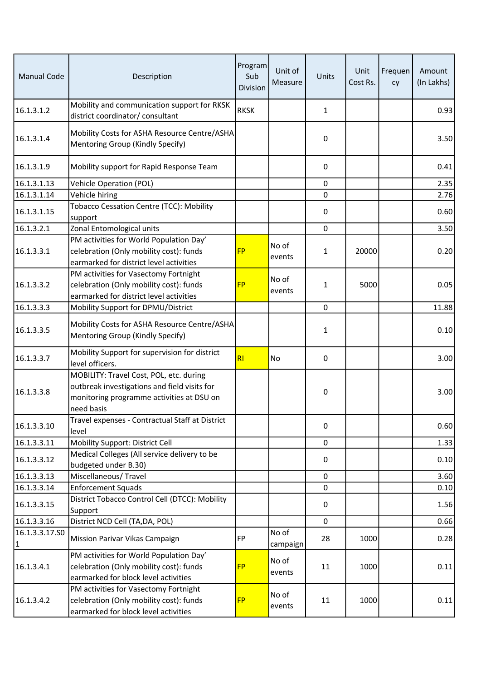| <b>Manual Code</b>             | Description                                                                                                                                        | Program<br>Sub<br>Division | Unit of<br>Measure | Units        | Unit<br>Cost Rs. | Frequen<br>cy | Amount<br>(In Lakhs) |
|--------------------------------|----------------------------------------------------------------------------------------------------------------------------------------------------|----------------------------|--------------------|--------------|------------------|---------------|----------------------|
| 16.1.3.1.2                     | Mobility and communication support for RKSK<br>district coordinator/ consultant                                                                    | <b>RKSK</b>                |                    | $\mathbf{1}$ |                  |               | 0.93                 |
| 16.1.3.1.4                     | Mobility Costs for ASHA Resource Centre/ASHA<br>Mentoring Group (Kindly Specify)                                                                   |                            |                    | 0            |                  |               | 3.50                 |
| 16.1.3.1.9                     | Mobility support for Rapid Response Team                                                                                                           |                            |                    | 0            |                  |               | 0.41                 |
| 16.1.3.1.13                    | Vehicle Operation (POL)                                                                                                                            |                            |                    | $\mathbf 0$  |                  |               | 2.35                 |
| 16.1.3.1.14                    | Vehicle hiring                                                                                                                                     |                            |                    | 0            |                  |               | 2.76                 |
| 16.1.3.1.15                    | Tobacco Cessation Centre (TCC): Mobility<br>support                                                                                                |                            |                    | 0            |                  |               | 0.60                 |
| 16.1.3.2.1                     | Zonal Entomological units                                                                                                                          |                            |                    | $\mathbf 0$  |                  |               | 3.50                 |
| 16.1.3.3.1                     | PM activities for World Population Day'<br>celebration (Only mobility cost): funds<br>earmarked for district level activities                      | <b>FP</b>                  | No of<br>events    | 1            | 20000            |               | 0.20                 |
| 16.1.3.3.2                     | PM activities for Vasectomy Fortnight<br>celebration (Only mobility cost): funds<br>earmarked for district level activities                        | <b>FP</b>                  | No of<br>events    | 1            | 5000             |               | 0.05                 |
| 16.1.3.3.3                     | Mobility Support for DPMU/District                                                                                                                 |                            |                    | $\mathbf 0$  |                  |               | 11.88                |
| 16.1.3.3.5                     | Mobility Costs for ASHA Resource Centre/ASHA<br>Mentoring Group (Kindly Specify)                                                                   |                            |                    | $\mathbf{1}$ |                  |               | 0.10                 |
| 16.1.3.3.7                     | Mobility Support for supervision for district<br>level officers.                                                                                   | RI                         | No                 | 0            |                  |               | 3.00                 |
| 16.1.3.3.8                     | MOBILITY: Travel Cost, POL, etc. during<br>outbreak investigations and field visits for<br>monitoring programme activities at DSU on<br>need basis |                            |                    | 0            |                  |               | 3.00                 |
| 16.1.3.3.10                    | Travel expenses - Contractual Staff at District<br>level                                                                                           |                            |                    | 0            |                  |               | 0.60                 |
| 16.1.3.3.11                    | Mobility Support: District Cell                                                                                                                    |                            |                    | $\mathbf 0$  |                  |               | 1.33                 |
| 16.1.3.3.12                    | Medical Colleges (All service delivery to be<br>budgeted under B.30)                                                                               |                            |                    | 0            |                  |               | 0.10                 |
| 16.1.3.3.13                    | Miscellaneous/Travel                                                                                                                               |                            |                    | $\mathbf 0$  |                  |               | 3.60                 |
| 16.1.3.3.14                    | <b>Enforcement Squads</b>                                                                                                                          |                            |                    | 0            |                  |               | 0.10                 |
| 16.1.3.3.15                    | District Tobacco Control Cell (DTCC): Mobility<br>Support                                                                                          |                            |                    | 0            |                  |               | 1.56                 |
| 16.1.3.3.16                    | District NCD Cell (TA, DA, POL)                                                                                                                    |                            |                    | $\mathbf 0$  |                  |               | 0.66                 |
| 16.1.3.3.17.SO<br>$\mathbf{1}$ | Mission Parivar Vikas Campaign                                                                                                                     | FP                         | No of<br>campaign  | 28           | 1000             |               | 0.28                 |
| 16.1.3.4.1                     | PM activities for World Population Day'<br>celebration (Only mobility cost): funds<br>earmarked for block level activities                         | <b>FP</b>                  | No of<br>events    | 11           | 1000             |               | 0.11                 |
| 16.1.3.4.2                     | PM activities for Vasectomy Fortnight<br>celebration (Only mobility cost): funds<br>earmarked for block level activities                           | <b>FP</b>                  | No of<br>events    | 11           | 1000             |               | 0.11                 |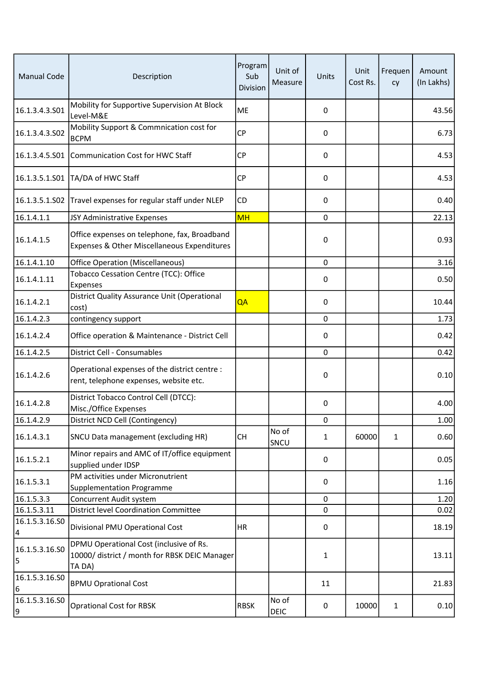| <b>Manual Code</b>                         | Description                                                                                        | Program<br>Sub<br>Division | Unit of<br>Measure   | Units       | Unit<br>Cost Rs. | Frequen<br>cy | Amount<br>(In Lakhs) |
|--------------------------------------------|----------------------------------------------------------------------------------------------------|----------------------------|----------------------|-------------|------------------|---------------|----------------------|
| 16.1.3.4.3.S01                             | Mobility for Supportive Supervision At Block<br>Level-M&E                                          | ME                         |                      | 0           |                  |               | 43.56                |
| 16.1.3.4.3.502                             | Mobility Support & Commnication cost for<br><b>BCPM</b>                                            | <b>CP</b>                  |                      | 0           |                  |               | 6.73                 |
|                                            | 16.1.3.4.5.S01 Communication Cost for HWC Staff                                                    | <b>CP</b>                  |                      | 0           |                  |               | 4.53                 |
| 16.1.3.5.1.S01                             | TA/DA of HWC Staff                                                                                 | <b>CP</b>                  |                      | 0           |                  |               | 4.53                 |
| 16.1.3.5.1.S02                             | Travel expenses for regular staff under NLEP                                                       | <b>CD</b>                  |                      | 0           |                  |               | 0.40                 |
| 16.1.4.1.1                                 | JSY Administrative Expenses                                                                        | <b>MH</b>                  |                      | $\mathbf 0$ |                  |               | 22.13                |
| 16.1.4.1.5                                 | Office expenses on telephone, fax, Broadband<br>Expenses & Other Miscellaneous Expenditures        |                            |                      | 0           |                  |               | 0.93                 |
| 16.1.4.1.10                                | <b>Office Operation (Miscellaneous)</b>                                                            |                            |                      | 0           |                  |               | 3.16                 |
| 16.1.4.1.11                                | Tobacco Cessation Centre (TCC): Office<br>Expenses                                                 |                            |                      | 0           |                  |               | 0.50                 |
| 16.1.4.2.1                                 | District Quality Assurance Unit (Operational<br>cost)                                              | QA                         |                      | $\Omega$    |                  |               | 10.44                |
| 16.1.4.2.3                                 | contingency support                                                                                |                            |                      | $\mathbf 0$ |                  |               | 1.73                 |
| 16.1.4.2.4                                 | Office operation & Maintenance - District Cell                                                     |                            |                      | $\Omega$    |                  |               | 0.42                 |
| 16.1.4.2.5                                 | District Cell - Consumables                                                                        |                            |                      | $\mathbf 0$ |                  |               | 0.42                 |
| 16.1.4.2.6                                 | Operational expenses of the district centre :<br>rent, telephone expenses, website etc.            |                            |                      | 0           |                  |               | 0.10                 |
| 16.1.4.2.8                                 | District Tobacco Control Cell (DTCC):<br>Misc./Office Expenses                                     |                            |                      | 0           |                  |               | 4.00                 |
| 16.1.4.2.9                                 | District NCD Cell (Contingency)                                                                    |                            |                      | 0           |                  |               | 1.00                 |
| 16.1.4.3.1                                 | SNCU Data management (excluding HR)                                                                | <b>CH</b>                  | No of<br>SNCU        | 1           | 60000            | 1             | 0.60                 |
| 16.1.5.2.1                                 | Minor repairs and AMC of IT/office equipment<br>supplied under IDSP                                |                            |                      | 0           |                  |               | 0.05                 |
| 16.1.5.3.1                                 | PM activities under Micronutrient<br><b>Supplementation Programme</b>                              |                            |                      | 0           |                  |               | 1.16                 |
| 16.1.5.3.3                                 | Concurrent Audit system                                                                            |                            |                      | $\mathbf 0$ |                  |               | 1.20                 |
| 16.1.5.3.11                                | <b>District level Coordination Committee</b>                                                       |                            |                      | 0           |                  |               | 0.02                 |
| 16.1.5.3.16.50<br>$\overline{\mathcal{L}}$ | Divisional PMU Operational Cost                                                                    | HR.                        |                      | 0           |                  |               | 18.19                |
| 16.1.5.3.16.S0<br>5                        | DPMU Operational Cost (inclusive of Rs.<br>10000/ district / month for RBSK DEIC Manager<br>TA DA) |                            |                      | 1           |                  |               | 13.11                |
| 16.1.5.3.16.50<br>$\boldsymbol{6}$         | <b>BPMU Oprational Cost</b>                                                                        |                            |                      | 11          |                  |               | 21.83                |
| 16.1.5.3.16.SO<br>9                        | <b>Oprational Cost for RBSK</b>                                                                    | <b>RBSK</b>                | No of<br><b>DEIC</b> | 0           | 10000            | 1             | 0.10                 |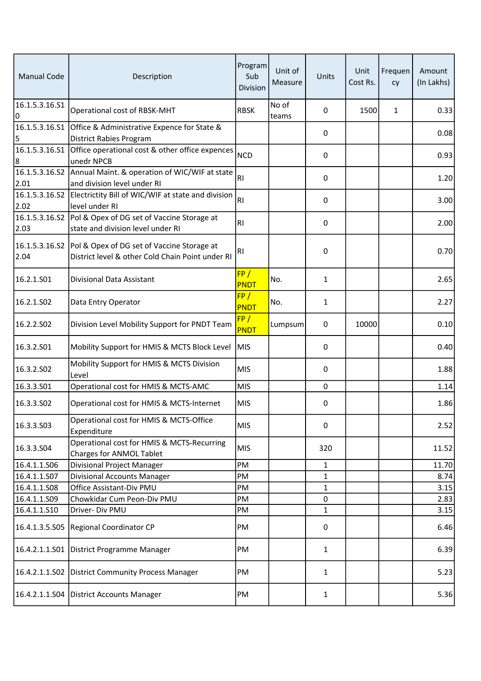| <b>Manual Code</b>     | Description                                                                                                     | Program<br>Sub<br>Division | Unit of<br>Measure | Units        | Unit<br>Cost Rs. | Frequen<br>cy | Amount<br>(In Lakhs) |
|------------------------|-----------------------------------------------------------------------------------------------------------------|----------------------------|--------------------|--------------|------------------|---------------|----------------------|
| 16.1.5.3.16.S1<br>0    | Operational cost of RBSK-MHT                                                                                    | <b>RBSK</b>                | No of<br>teams     | 0            | 1500             | 1             | 0.33                 |
| 16.1.5.3.16.S1<br>5    | Office & Administrative Expence for State &<br>District Rabies Program                                          |                            |                    | 0            |                  |               | 0.08                 |
| 16.1.5.3.16.S1<br>8    | Office operational cost & other office expences<br>unedr NPCB                                                   | <b>NCD</b>                 |                    | 0            |                  |               | 0.93                 |
| 2.01                   | 16.1.5.3.16.S2 Annual Maint. & operation of WIC/WIF at state<br>and division level under RI                     | RI                         |                    | 0            |                  |               | 1.20                 |
| 16.1.5.3.16.S2<br>2.02 | Electrictity Bill of WIC/WIF at state and division<br>level under RI                                            | RI                         |                    | 0            |                  |               | 3.00                 |
| 2.03                   | 16.1.5.3.16.S2 Pol & Opex of DG set of Vaccine Storage at<br>state and division level under RI                  | R <sub>l</sub>             |                    | 0            |                  |               | 2.00                 |
| 2.04                   | 16.1.5.3.16.S2   Pol & Opex of DG set of Vaccine Storage at<br>District level & other Cold Chain Point under RI | R <sub>1</sub>             |                    | $\pmb{0}$    |                  |               | 0.70                 |
| 16.2.1.S01             | Divisional Data Assistant                                                                                       | FP/<br>PNDT                | No.                | $\mathbf{1}$ |                  |               | 2.65                 |
| 16.2.1.SO2             | Data Entry Operator                                                                                             | FP/<br>PNDT                | No.                | 1            |                  |               | 2.27                 |
| 16.2.2.S02             | Division Level Mobility Support for PNDT Team                                                                   | FP/<br>PNDT                | Lumpsum            | $\pmb{0}$    | 10000            |               | 0.10                 |
| 16.3.2.S01             | Mobility Support for HMIS & MCTS Block Level                                                                    | <b>MIS</b>                 |                    | 0            |                  |               | 0.40                 |
| 16.3.2.502             | Mobility Support for HMIS & MCTS Division<br>Level                                                              | <b>MIS</b>                 |                    | 0            |                  |               | 1.88                 |
| 16.3.3.501             | Operational cost for HMIS & MCTS-AMC                                                                            | <b>MIS</b>                 |                    | $\mathbf 0$  |                  |               | 1.14                 |
| 16.3.3.502             | Operational cost for HMIS & MCTS-Internet                                                                       | MIS                        |                    | 0            |                  |               | 1.86                 |
| 16.3.3.S03             | Operational cost for HMIS & MCTS-Office<br>Expenditure                                                          | <b>MIS</b>                 |                    | 0            |                  |               | 2.52                 |
| 16.3.3.504             | Operational cost for HMIS & MCTS-Recurring<br>Charges for ANMOL Tablet                                          | MIS                        |                    | 320          |                  |               | 11.52                |
| 16.4.1.1.S06           | <b>Divisional Project Manager</b>                                                                               | PM                         |                    | $\mathbf{1}$ |                  |               | 11.70                |
| 16.4.1.1.S07           | Divisional Accounts Manager                                                                                     | PM                         |                    | $\mathbf{1}$ |                  |               | 8.74                 |
| 16.4.1.1.S08           | Office Assistant-Div PMU                                                                                        | PM                         |                    | $\mathbf{1}$ |                  |               | 3.15                 |
| 16.4.1.1.509           | Chowkidar Cum Peon-Div PMU                                                                                      | PM                         |                    | 0            |                  |               | 2.83                 |
| 16.4.1.1.S10           | Driver- Div PMU                                                                                                 | PM                         |                    | 1            |                  |               | 3.15                 |
|                        | 16.4.1.3.5.S05 Regional Coordinator CP                                                                          | PM                         |                    | 0            |                  |               | 6.46                 |
| 16.4.2.1.1.S01         | District Programme Manager                                                                                      | PM                         |                    | $\mathbf{1}$ |                  |               | 6.39                 |
|                        | 16.4.2.1.1.S02 District Community Process Manager                                                               | PM                         |                    | $\mathbf{1}$ |                  |               | 5.23                 |
|                        | 16.4.2.1.1.S04 District Accounts Manager                                                                        | PM                         |                    | $\mathbf{1}$ |                  |               | 5.36                 |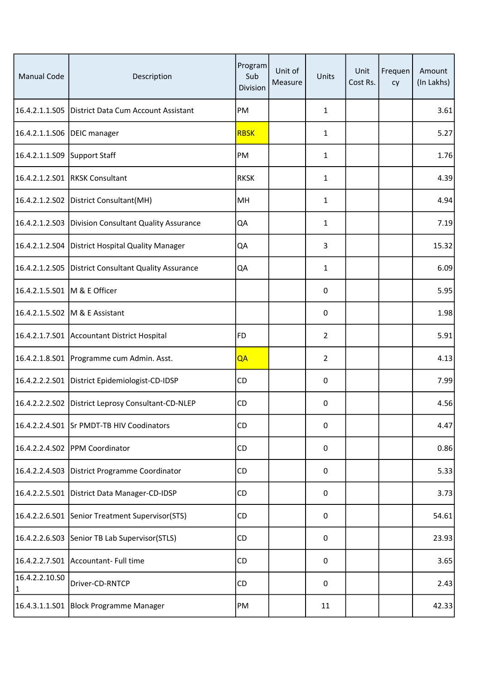| <b>Manual Code</b>             | Description                                          | Program<br>Sub<br>Division | Unit of<br>Measure | Units          | Unit<br>Cost Rs. | Frequen<br>cy | Amount<br>(In Lakhs) |
|--------------------------------|------------------------------------------------------|----------------------------|--------------------|----------------|------------------|---------------|----------------------|
|                                | 16.4.2.1.1.S05   District Data Cum Account Assistant | PM                         |                    | $\mathbf{1}$   |                  |               | 3.61                 |
| 16.4.2.1.1.S06   DEIC manager  |                                                      | <b>RBSK</b>                |                    | 1              |                  |               | 5.27                 |
| 16.4.2.1.1.S09 Support Staff   |                                                      | PM                         |                    | $\mathbf{1}$   |                  |               | 1.76                 |
|                                | 16.4.2.1.2.S01 RKSK Consultant                       | <b>RKSK</b>                |                    | $\mathbf{1}$   |                  |               | 4.39                 |
|                                | 16.4.2.1.2.S02 District Consultant(MH)               | MH                         |                    | 1              |                  |               | 4.94                 |
|                                | 16.4.2.1.2.S03 Division Consultant Quality Assurance | QA                         |                    | 1              |                  |               | 7.19                 |
|                                | 16.4.2.1.2.S04 District Hospital Quality Manager     | QA                         |                    | 3              |                  |               | 15.32                |
|                                | 16.4.2.1.2.S05 District Consultant Quality Assurance | QA                         |                    | $\mathbf{1}$   |                  |               | 6.09                 |
| 16.4.2.1.5.S01 M & E Officer   |                                                      |                            |                    | 0              |                  |               | 5.95                 |
|                                | 16.4.2.1.5.S02   M & E Assistant                     |                            |                    | 0              |                  |               | 1.98                 |
|                                | 16.4.2.1.7.S01 Accountant District Hospital          | FD                         |                    | $\overline{2}$ |                  |               | 5.91                 |
|                                | 16.4.2.1.8.S01   Programme cum Admin. Asst.          | QA                         |                    | 2              |                  |               | 4.13                 |
|                                | 16.4.2.2.2.S01 District Epidemiologist-CD-IDSP       | CD                         |                    | $\pmb{0}$      |                  |               | 7.99                 |
|                                | 16.4.2.2.2.S02 District Leprosy Consultant-CD-NLEP   | <b>CD</b>                  |                    | 0              |                  |               | 4.56                 |
|                                | 16.4.2.2.4.S01 Sr PMDT-TB HIV Coodinators            | CD                         |                    | $\pmb{0}$      |                  |               | 4.47                 |
|                                | 16.4.2.2.4.S02 PPM Coordinator                       | CD                         |                    | $\pmb{0}$      |                  |               | 0.86                 |
|                                | 16.4.2.2.4.S03 District Programme Coordinator        | <b>CD</b>                  |                    | 0              |                  |               | 5.33                 |
|                                | 16.4.2.2.5.S01 District Data Manager-CD-IDSP         | CD                         |                    | $\pmb{0}$      |                  |               | 3.73                 |
|                                | 16.4.2.2.6.S01 Senior Treatment Supervisor(STS)      | <b>CD</b>                  |                    | 0              |                  |               | 54.61                |
|                                | 16.4.2.2.6.S03 Senior TB Lab Supervisor(STLS)        | <b>CD</b>                  |                    | 0              |                  |               | 23.93                |
|                                | 16.4.2.2.7.S01 Accountant- Full time                 | CD                         |                    | 0              |                  |               | 3.65                 |
| 16.4.2.2.10.50<br>$\mathbf{1}$ | Driver-CD-RNTCP                                      | <b>CD</b>                  |                    | $\pmb{0}$      |                  |               | 2.43                 |
|                                | 16.4.3.1.1.S01 Block Programme Manager               | PM                         |                    | 11             |                  |               | 42.33                |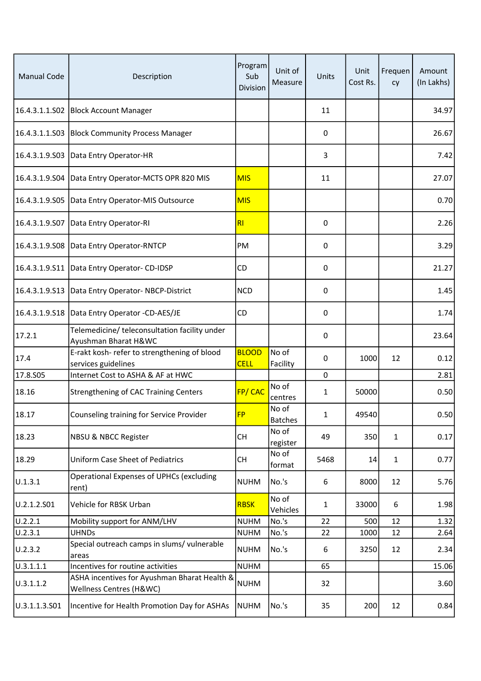| <b>Manual Code</b> | Description                                                             | Program<br>Sub<br>Division  | Unit of<br>Measure      | Units          | Unit<br>Cost Rs. | Frequen<br>cy | Amount<br>(In Lakhs) |
|--------------------|-------------------------------------------------------------------------|-----------------------------|-------------------------|----------------|------------------|---------------|----------------------|
|                    | 16.4.3.1.1.S02   Block Account Manager                                  |                             |                         | 11             |                  |               | 34.97                |
|                    | 16.4.3.1.1.S03   Block Community Process Manager                        |                             |                         | 0              |                  |               | 26.67                |
|                    | 16.4.3.1.9.S03   Data Entry Operator-HR                                 |                             |                         | $\overline{3}$ |                  |               | 7.42                 |
| 16.4.3.1.9.S04     | Data Entry Operator-MCTS OPR 820 MIS                                    | <b>MIS</b>                  |                         | 11             |                  |               | 27.07                |
| 16.4.3.1.9.505     | Data Entry Operator-MIS Outsource                                       | <b>MIS</b>                  |                         |                |                  |               | 0.70                 |
|                    | 16.4.3.1.9.S07   Data Entry Operator-RI                                 | R <sub>l</sub>              |                         | 0              |                  |               | 2.26                 |
| 16.4.3.1.9.508     | Data Entry Operator-RNTCP                                               | PM                          |                         | 0              |                  |               | 3.29                 |
|                    | 16.4.3.1.9.S11   Data Entry Operator- CD-IDSP                           | CD                          |                         | 0              |                  |               | 21.27                |
|                    | 16.4.3.1.9.S13   Data Entry Operator-NBCP-District                      | <b>NCD</b>                  |                         | 0              |                  |               | 1.45                 |
|                    | 16.4.3.1.9.S18   Data Entry Operator -CD-AES/JE                         | CD                          |                         | 0              |                  |               | 1.74                 |
| 17.2.1             | Telemedicine/ teleconsultation facility under<br>Ayushman Bharat H&WC   |                             |                         | 0              |                  |               | 23.64                |
| 17.4               | E-rakt kosh- refer to strengthening of blood<br>services guidelines     | <b>BLOOD</b><br><b>CELL</b> | No of<br>Facility       | 0              | 1000             | 12            | 0.12                 |
| 17.8.S05           | Internet Cost to ASHA & AF at HWC                                       |                             |                         | $\mathbf 0$    |                  |               | 2.81                 |
| 18.16              | <b>Strengthening of CAC Training Centers</b>                            | FP/CAC                      | No of<br>centres        | 1              | 50000            |               | 0.50                 |
| 18.17              | Counseling training for Service Provider                                | FD                          | No of<br><b>Batches</b> | 1              | 49540            |               | 0.50                 |
| 18.23              | <b>NBSU &amp; NBCC Register</b>                                         | CH                          | No of<br>register       | 49             | 350              | $\mathbf{1}$  | 0.17                 |
| 18.29              | Uniform Case Sheet of Pediatrics                                        | <b>CH</b>                   | No of<br>format         | 5468           | 14               | 1             | 0.77                 |
| U.1.3.1            | Operational Expenses of UPHCs (excluding<br>rent)                       | <b>NUHM</b>                 | No.'s                   | 6              | 8000             | 12            | 5.76                 |
| U.2.1.2.S01        | Vehicle for RBSK Urban                                                  | <b>RBSK</b>                 | No of<br>Vehicles       | $\mathbf{1}$   | 33000            | 6             | 1.98                 |
| U.2.2.1            | Mobility support for ANM/LHV                                            | <b>NUHM</b>                 | No.'s                   | 22             | 500              | 12            | 1.32                 |
| U.2.3.1            | <b>UHNDs</b>                                                            | <b>NUHM</b>                 | No.'s                   | 22             | 1000             | 12            | 2.64                 |
| U.2.3.2            | Special outreach camps in slums/ vulnerable<br>areas                    | <b>NUHM</b>                 | No.'s                   | 6              | 3250             | 12            | 2.34                 |
| U.3.1.1.1          | Incentives for routine activities                                       | <b>NUHM</b>                 |                         | 65             |                  |               | 15.06                |
| U.3.1.1.2          | ASHA incentives for Ayushman Bharat Health &<br>Wellness Centres (H&WC) | <b>NUHM</b>                 |                         | 32             |                  |               | 3.60                 |
| U.3.1.1.3.S01      | Incentive for Health Promotion Day for ASHAs                            | <b>NUHM</b>                 | No.'s                   | 35             | 200              | 12            | 0.84                 |